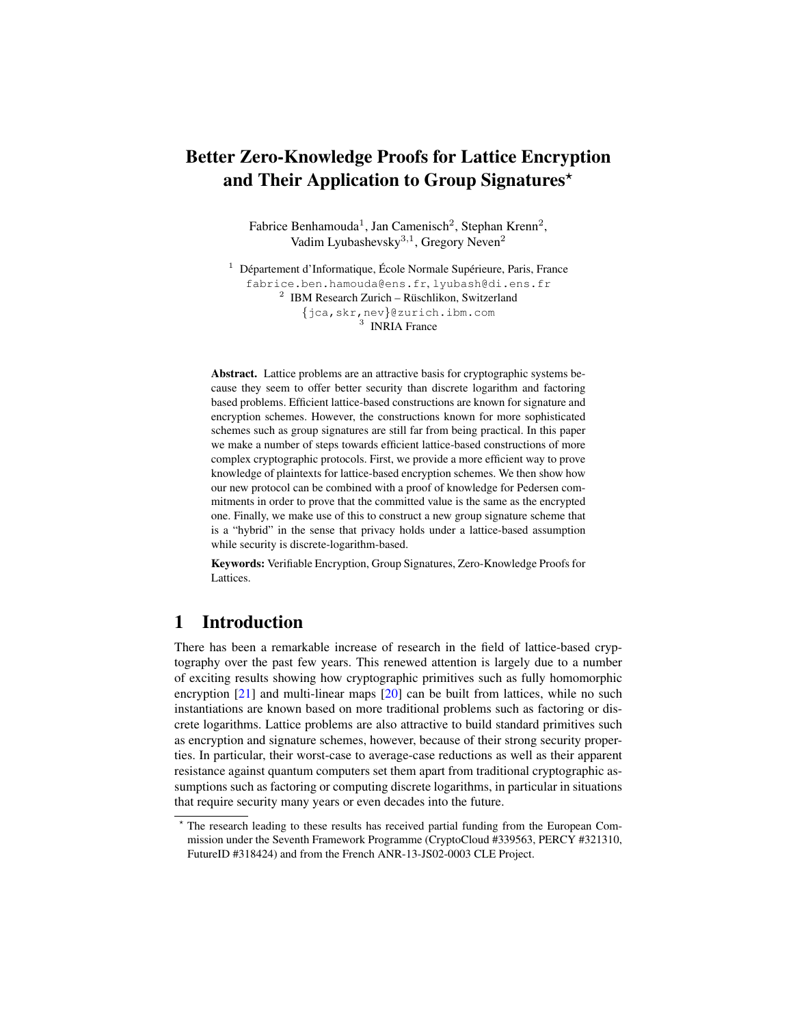# Better Zero-Knowledge Proofs for Lattice Encryption and Their Application to Group Signatures\*

Fabrice Benhamouda<sup>1</sup>, Jan Camenisch<sup>2</sup>, Stephan Krenn<sup>2</sup>, Vadim Lyubashevsky<sup>3,1</sup>, Gregory Neven<sup>2</sup>

 $1$  Département d'Informatique, École Normale Supérieure, Paris, France fabrice.ben.hamouda@ens.fr, lyubash@di.ens.fr  $2$  IBM Research Zurich – Rüschlikon, Switzerland {jca,skr,nev}@zurich.ibm.com 3 INRIA France

Abstract. Lattice problems are an attractive basis for cryptographic systems because they seem to offer better security than discrete logarithm and factoring based problems. Efficient lattice-based constructions are known for signature and encryption schemes. However, the constructions known for more sophisticated schemes such as group signatures are still far from being practical. In this paper we make a number of steps towards efficient lattice-based constructions of more complex cryptographic protocols. First, we provide a more efficient way to prove knowledge of plaintexts for lattice-based encryption schemes. We then show how our new protocol can be combined with a proof of knowledge for Pedersen commitments in order to prove that the committed value is the same as the encrypted one. Finally, we make use of this to construct a new group signature scheme that is a "hybrid" in the sense that privacy holds under a lattice-based assumption while security is discrete-logarithm-based.

Keywords: Verifiable Encryption, Group Signatures, Zero-Knowledge Proofs for Lattices.

# 1 Introduction

There has been a remarkable increase of research in the field of lattice-based cryptography over the past few years. This renewed attention is largely due to a number of exciting results showing how cryptographic primitives such as fully homomorphic encryption [\[21\]](#page-20-0) and multi-linear maps [\[20\]](#page-20-1) can be built from lattices, while no such instantiations are known based on more traditional problems such as factoring or discrete logarithms. Lattice problems are also attractive to build standard primitives such as encryption and signature schemes, however, because of their strong security properties. In particular, their worst-case to average-case reductions as well as their apparent resistance against quantum computers set them apart from traditional cryptographic assumptions such as factoring or computing discrete logarithms, in particular in situations that require security many years or even decades into the future.

<sup>?</sup> The research leading to these results has received partial funding from the European Commission under the Seventh Framework Programme (CryptoCloud #339563, PERCY #321310, FutureID #318424) and from the French ANR-13-JS02-0003 CLE Project.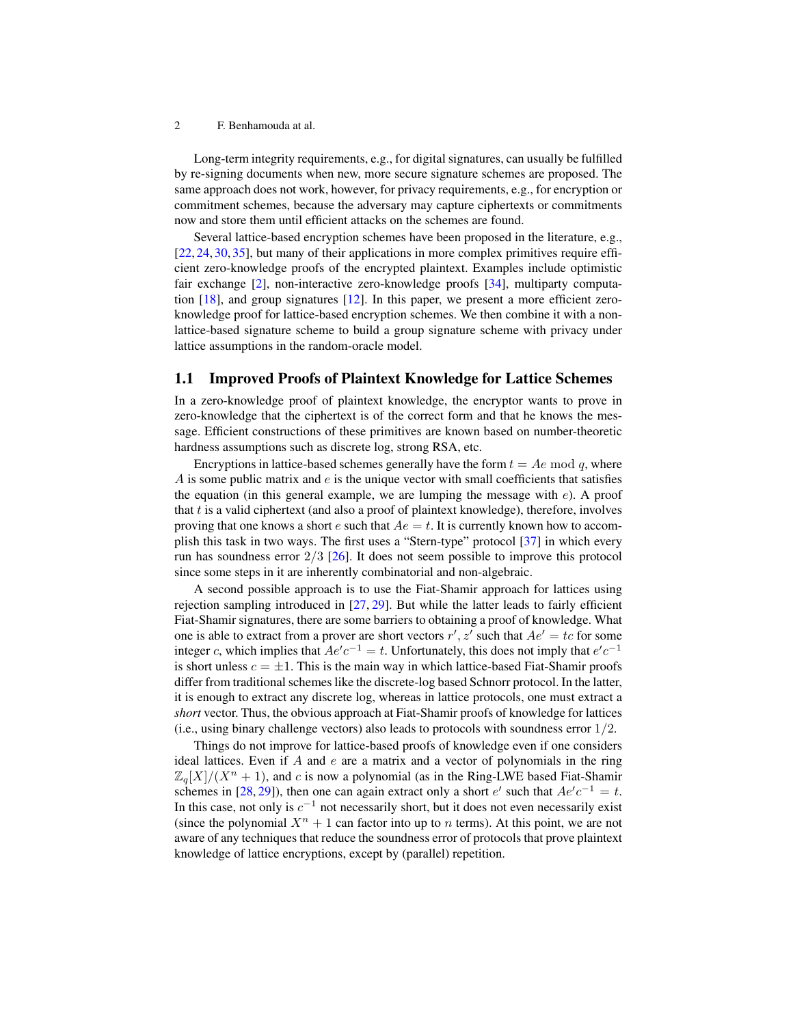Long-term integrity requirements, e.g., for digital signatures, can usually be fulfilled by re-signing documents when new, more secure signature schemes are proposed. The same approach does not work, however, for privacy requirements, e.g., for encryption or commitment schemes, because the adversary may capture ciphertexts or commitments now and store them until efficient attacks on the schemes are found.

Several lattice-based encryption schemes have been proposed in the literature, e.g., [\[22,](#page-20-2) [24,](#page-20-3) [30,](#page-20-4) [35\]](#page-20-5), but many of their applications in more complex primitives require efficient zero-knowledge proofs of the encrypted plaintext. Examples include optimistic fair exchange [\[2\]](#page-19-0), non-interactive zero-knowledge proofs [\[34\]](#page-20-6), multiparty computation [\[18\]](#page-19-1), and group signatures [\[12\]](#page-19-2). In this paper, we present a more efficient zeroknowledge proof for lattice-based encryption schemes. We then combine it with a nonlattice-based signature scheme to build a group signature scheme with privacy under lattice assumptions in the random-oracle model.

### 1.1 Improved Proofs of Plaintext Knowledge for Lattice Schemes

In a zero-knowledge proof of plaintext knowledge, the encryptor wants to prove in zero-knowledge that the ciphertext is of the correct form and that he knows the message. Efficient constructions of these primitives are known based on number-theoretic hardness assumptions such as discrete log, strong RSA, etc.

Encryptions in lattice-based schemes generally have the form  $t = Ae \mod q$ , where A is some public matrix and  $e$  is the unique vector with small coefficients that satisfies the equation (in this general example, we are lumping the message with  $e$ ). A proof that  $t$  is a valid ciphertext (and also a proof of plaintext knowledge), therefore, involves proving that one knows a short e such that  $Ae = t$ . It is currently known how to accomplish this task in two ways. The first uses a "Stern-type" protocol [\[37\]](#page-20-7) in which every run has soundness error  $2/3$  [\[26\]](#page-20-8). It does not seem possible to improve this protocol since some steps in it are inherently combinatorial and non-algebraic.

A second possible approach is to use the Fiat-Shamir approach for lattices using rejection sampling introduced in [\[27,](#page-20-9) [29\]](#page-20-10). But while the latter leads to fairly efficient Fiat-Shamir signatures, there are some barriers to obtaining a proof of knowledge. What one is able to extract from a prover are short vectors  $r'$ ,  $z'$  such that  $Ae' = tc$  for some integer c, which implies that  $Ae^t c^{-1} = t$ . Unfortunately, this does not imply that  $e^t c^{-1}$ is short unless  $c = \pm 1$ . This is the main way in which lattice-based Fiat-Shamir proofs differ from traditional schemes like the discrete-log based Schnorr protocol. In the latter, it is enough to extract any discrete log, whereas in lattice protocols, one must extract a *short* vector. Thus, the obvious approach at Fiat-Shamir proofs of knowledge for lattices (i.e., using binary challenge vectors) also leads to protocols with soundness error  $1/2$ .

Things do not improve for lattice-based proofs of knowledge even if one considers ideal lattices. Even if  $A$  and  $e$  are a matrix and a vector of polynomials in the ring  $\mathbb{Z}_{q}[X]/(X^{n}+1)$ , and c is now a polynomial (as in the Ring-LWE based Fiat-Shamir schemes in [\[28,](#page-20-11) [29\]](#page-20-10)), then one can again extract only a short  $e'$  such that  $Ae'c^{-1} = t$ . In this case, not only is  $c^{-1}$  not necessarily short, but it does not even necessarily exist (since the polynomial  $X^n + 1$  can factor into up to n terms). At this point, we are not aware of any techniques that reduce the soundness error of protocols that prove plaintext knowledge of lattice encryptions, except by (parallel) repetition.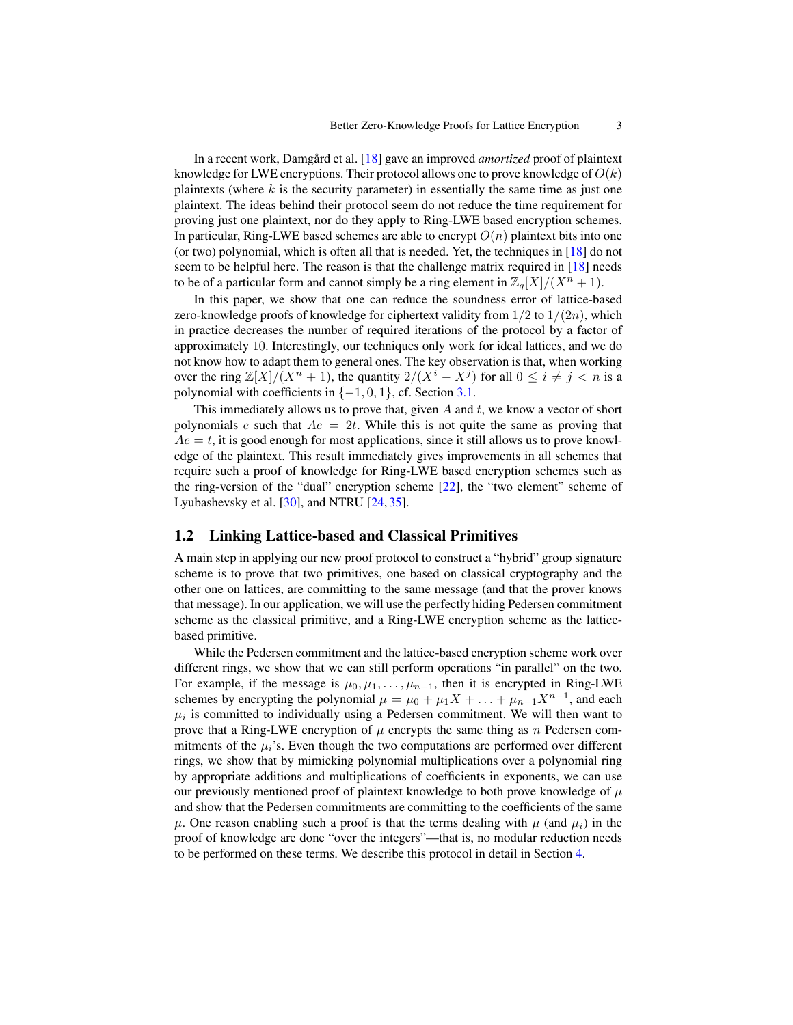In a recent work, Damgard et al. [ ˚ [18\]](#page-19-1) gave an improved *amortized* proof of plaintext knowledge for LWE encryptions. Their protocol allows one to prove knowledge of  $O(k)$ plaintexts (where  $k$  is the security parameter) in essentially the same time as just one plaintext. The ideas behind their protocol seem do not reduce the time requirement for proving just one plaintext, nor do they apply to Ring-LWE based encryption schemes. In particular, Ring-LWE based schemes are able to encrypt  $O(n)$  plaintext bits into one (or two) polynomial, which is often all that is needed. Yet, the techniques in [\[18\]](#page-19-1) do not seem to be helpful here. The reason is that the challenge matrix required in [\[18\]](#page-19-1) needs to be of a particular form and cannot simply be a ring element in  $\mathbb{Z}_q[X]/(X^n + 1)$ .

In this paper, we show that one can reduce the soundness error of lattice-based zero-knowledge proofs of knowledge for ciphertext validity from  $1/2$  to  $1/(2n)$ , which in practice decreases the number of required iterations of the protocol by a factor of approximately 10. Interestingly, our techniques only work for ideal lattices, and we do not know how to adapt them to general ones. The key observation is that, when working over the ring  $\mathbb{Z}[X]/(X^n + 1)$ , the quantity  $2/(X^i - X^j)$  for all  $0 \le i \ne j < n$  is a polynomial with coefficients in  $\{-1, 0, 1\}$ , cf. Section [3.1.](#page-8-0)

This immediately allows us to prove that, given  $A$  and  $t$ , we know a vector of short polynomials e such that  $Ae = 2t$ . While this is not quite the same as proving that  $Ae = t$ , it is good enough for most applications, since it still allows us to prove knowledge of the plaintext. This result immediately gives improvements in all schemes that require such a proof of knowledge for Ring-LWE based encryption schemes such as the ring-version of the "dual" encryption scheme [\[22\]](#page-20-2), the "two element" scheme of Lyubashevsky et al. [\[30\]](#page-20-4), and NTRU [\[24,](#page-20-3) [35\]](#page-20-5).

#### 1.2 Linking Lattice-based and Classical Primitives

A main step in applying our new proof protocol to construct a "hybrid" group signature scheme is to prove that two primitives, one based on classical cryptography and the other one on lattices, are committing to the same message (and that the prover knows that message). In our application, we will use the perfectly hiding Pedersen commitment scheme as the classical primitive, and a Ring-LWE encryption scheme as the latticebased primitive.

While the Pedersen commitment and the lattice-based encryption scheme work over different rings, we show that we can still perform operations "in parallel" on the two. For example, if the message is  $\mu_0, \mu_1, \ldots, \mu_{n-1}$ , then it is encrypted in Ring-LWE schemes by encrypting the polynomial  $\mu = \mu_0 + \mu_1 X + \ldots + \mu_{n-1} X^{n-1}$ , and each  $\mu_i$  is committed to individually using a Pedersen commitment. We will then want to prove that a Ring-LWE encryption of  $\mu$  encrypts the same thing as n Pedersen commitments of the  $\mu_i$ 's. Even though the two computations are performed over different rings, we show that by mimicking polynomial multiplications over a polynomial ring by appropriate additions and multiplications of coefficients in exponents, we can use our previously mentioned proof of plaintext knowledge to both prove knowledge of  $\mu$ and show that the Pedersen commitments are committing to the coefficients of the same  $\mu$ . One reason enabling such a proof is that the terms dealing with  $\mu$  (and  $\mu_i$ ) in the proof of knowledge are done "over the integers"—that is, no modular reduction needs to be performed on these terms. We describe this protocol in detail in Section [4.](#page-10-0)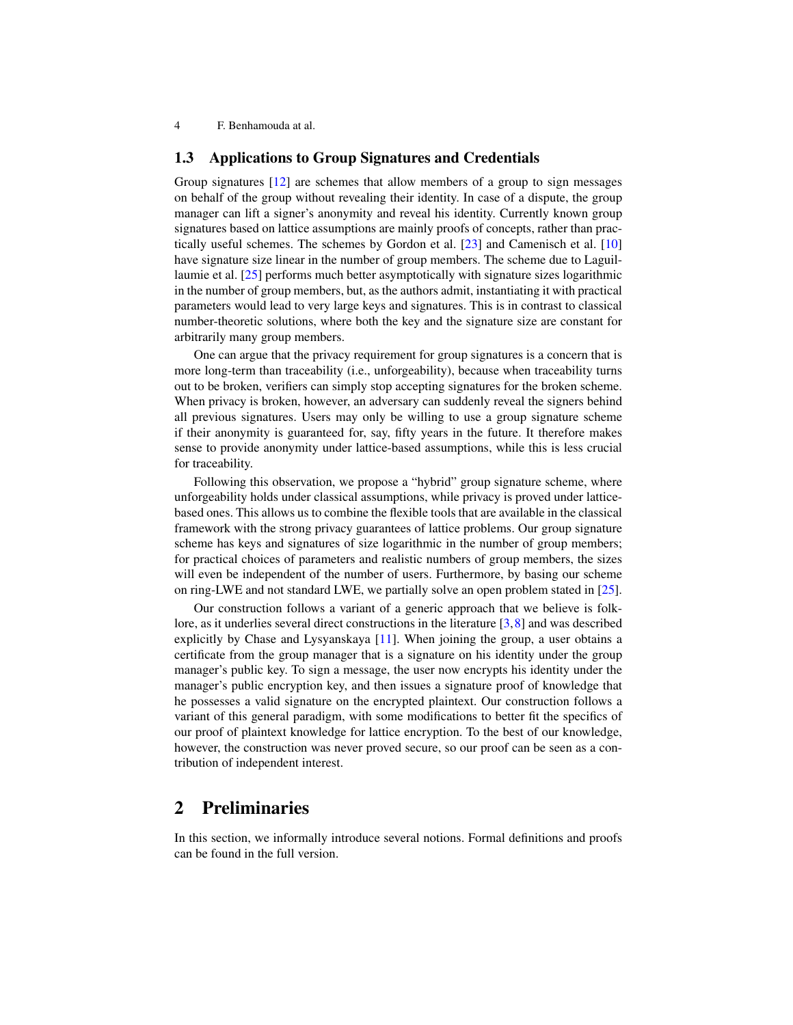### 1.3 Applications to Group Signatures and Credentials

Group signatures [\[12\]](#page-19-2) are schemes that allow members of a group to sign messages on behalf of the group without revealing their identity. In case of a dispute, the group manager can lift a signer's anonymity and reveal his identity. Currently known group signatures based on lattice assumptions are mainly proofs of concepts, rather than practically useful schemes. The schemes by Gordon et al. [\[23\]](#page-20-12) and Camenisch et al. [\[10\]](#page-19-3) have signature size linear in the number of group members. The scheme due to Laguillaumie et al. [\[25\]](#page-20-13) performs much better asymptotically with signature sizes logarithmic in the number of group members, but, as the authors admit, instantiating it with practical parameters would lead to very large keys and signatures. This is in contrast to classical number-theoretic solutions, where both the key and the signature size are constant for arbitrarily many group members.

One can argue that the privacy requirement for group signatures is a concern that is more long-term than traceability (i.e., unforgeability), because when traceability turns out to be broken, verifiers can simply stop accepting signatures for the broken scheme. When privacy is broken, however, an adversary can suddenly reveal the signers behind all previous signatures. Users may only be willing to use a group signature scheme if their anonymity is guaranteed for, say, fifty years in the future. It therefore makes sense to provide anonymity under lattice-based assumptions, while this is less crucial for traceability.

Following this observation, we propose a "hybrid" group signature scheme, where unforgeability holds under classical assumptions, while privacy is proved under latticebased ones. This allows us to combine the flexible tools that are available in the classical framework with the strong privacy guarantees of lattice problems. Our group signature scheme has keys and signatures of size logarithmic in the number of group members; for practical choices of parameters and realistic numbers of group members, the sizes will even be independent of the number of users. Furthermore, by basing our scheme on ring-LWE and not standard LWE, we partially solve an open problem stated in [\[25\]](#page-20-13).

Our construction follows a variant of a generic approach that we believe is folklore, as it underlies several direct constructions in the literature [\[3,](#page-19-4)[8\]](#page-19-5) and was described explicitly by Chase and Lysyanskaya [\[11\]](#page-19-6). When joining the group, a user obtains a certificate from the group manager that is a signature on his identity under the group manager's public key. To sign a message, the user now encrypts his identity under the manager's public encryption key, and then issues a signature proof of knowledge that he possesses a valid signature on the encrypted plaintext. Our construction follows a variant of this general paradigm, with some modifications to better fit the specifics of our proof of plaintext knowledge for lattice encryption. To the best of our knowledge, however, the construction was never proved secure, so our proof can be seen as a contribution of independent interest.

### 2 Preliminaries

In this section, we informally introduce several notions. Formal definitions and proofs can be found in the full version.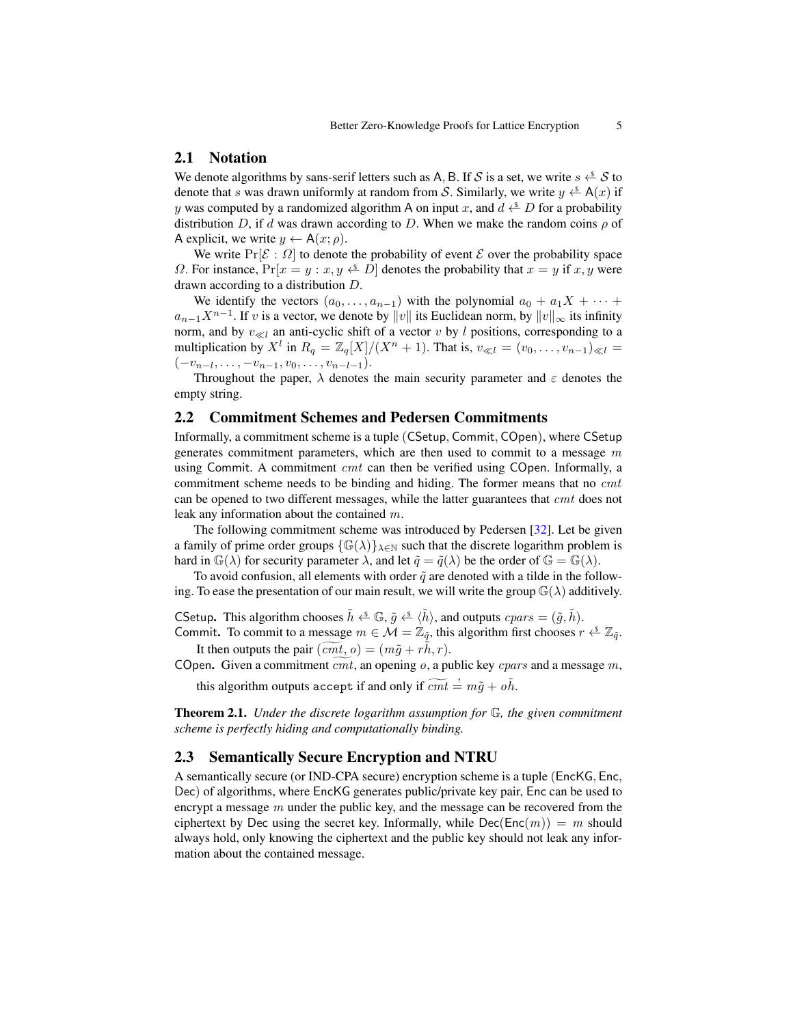### 2.1 Notation

We denote algorithms by sans-serif letters such as A, B. If S is a set, we write  $s \leftrightarrow S$  to denote that s was drawn uniformly at random from S. Similarly, we write  $y \leftarrow A(x)$  if y was computed by a randomized algorithm A on input x, and  $d \stackrel{s}{\leftarrow} D$  for a probability distribution D, if d was drawn according to D. When we make the random coins  $\rho$  of A explicit, we write  $y \leftarrow A(x; \rho)$ .

We write  $Pr[\mathcal{E}: \Omega]$  to denote the probability of event  $\mathcal E$  over the probability space  $\Omega$ . For instance,  $Pr[x = y : x, y \xleftarrow{\$} D]$  denotes the probability that  $x = y$  if x, y were drawn according to a distribution D.

We identify the vectors  $(a_0, \ldots, a_{n-1})$  with the polynomial  $a_0 + a_1X + \cdots$  $a_{n-1}X^{n-1}$ . If v is a vector, we denote by  $||v||$  its Euclidean norm, by  $||v||_{\infty}$  its infinity norm, and by  $v_{\ll l}$  an anti-cyclic shift of a vector v by l positions, corresponding to a multiplication by  $X^l$  in  $R_q = \mathbb{Z}_q[X]/(X^n + 1)$ . That is,  $v_{\ll l} = (v_0, \ldots, v_{n-1})_{\ll l} =$  $(-v_{n-l},\ldots,-v_{n-1},v_0,\ldots,v_{n-l-1}).$ 

Throughout the paper,  $\lambda$  denotes the main security parameter and  $\varepsilon$  denotes the empty string.

#### <span id="page-4-0"></span>2.2 Commitment Schemes and Pedersen Commitments

Informally, a commitment scheme is a tuple (CSetup, Commit, COpen), where CSetup generates commitment parameters, which are then used to commit to a message  $m$ using Commit. A commitment cmt can then be verified using COpen. Informally, a commitment scheme needs to be binding and hiding. The former means that no *cmt* can be opened to two different messages, while the latter guarantees that *cmt* does not leak any information about the contained m.

The following commitment scheme was introduced by Pedersen [\[32\]](#page-20-14). Let be given a family of prime order groups  $\{\mathbb{G}(\lambda)\}_{\lambda\in\mathbb{N}}$  such that the discrete logarithm problem is hard in  $\mathbb{G}(\lambda)$  for security parameter  $\lambda$ , and let  $\tilde{q} = \tilde{q}(\lambda)$  be the order of  $\mathbb{G} = \mathbb{G}(\lambda)$ .

To avoid confusion, all elements with order  $\tilde{q}$  are denoted with a tilde in the following. To ease the presentation of our main result, we will write the group  $\mathbb{G}(\lambda)$  additively.

CSetup. This algorithm chooses  $\tilde{h} \stackrel{\epsilon}{\leftrightarrow} \mathbb{G}$ ,  $\tilde{g} \stackrel{\epsilon}{\leftrightarrow} \langle \tilde{h} \rangle$ , and outputs  $cparse = (\tilde{g}, \tilde{h})$ . Commit. To commit to a message  $m \in \mathcal{M} = \mathbb{Z}_{q}$ , this algorithm first chooses  $r \stackrel{\text{d}}{\leftarrow} \mathbb{Z}_{q}$ .

It then outputs the pair  $(cmt, o) = (m\tilde{g} + rh, r)$ .

COpen. Given a commitment  $emt$ , an opening  $o$ , a public key *cpars* and a message m,

this algorithm outputs accept if and only if  $\widetilde{cmt} \stackrel{\text{d}}{=} m\tilde{g} + o\tilde{h}$ .

Theorem 2.1. *Under the discrete logarithm assumption for* G*, the given commitment scheme is perfectly hiding and computationally binding.*

#### 2.3 Semantically Secure Encryption and NTRU

A semantically secure (or IND-CPA secure) encryption scheme is a tuple (EncKG, Enc, Dec) of algorithms, where EncKG generates public/private key pair, Enc can be used to encrypt a message  $m$  under the public key, and the message can be recovered from the ciphertext by Dec using the secret key. Informally, while  $Dec(Enc(m)) = m$  should always hold, only knowing the ciphertext and the public key should not leak any information about the contained message.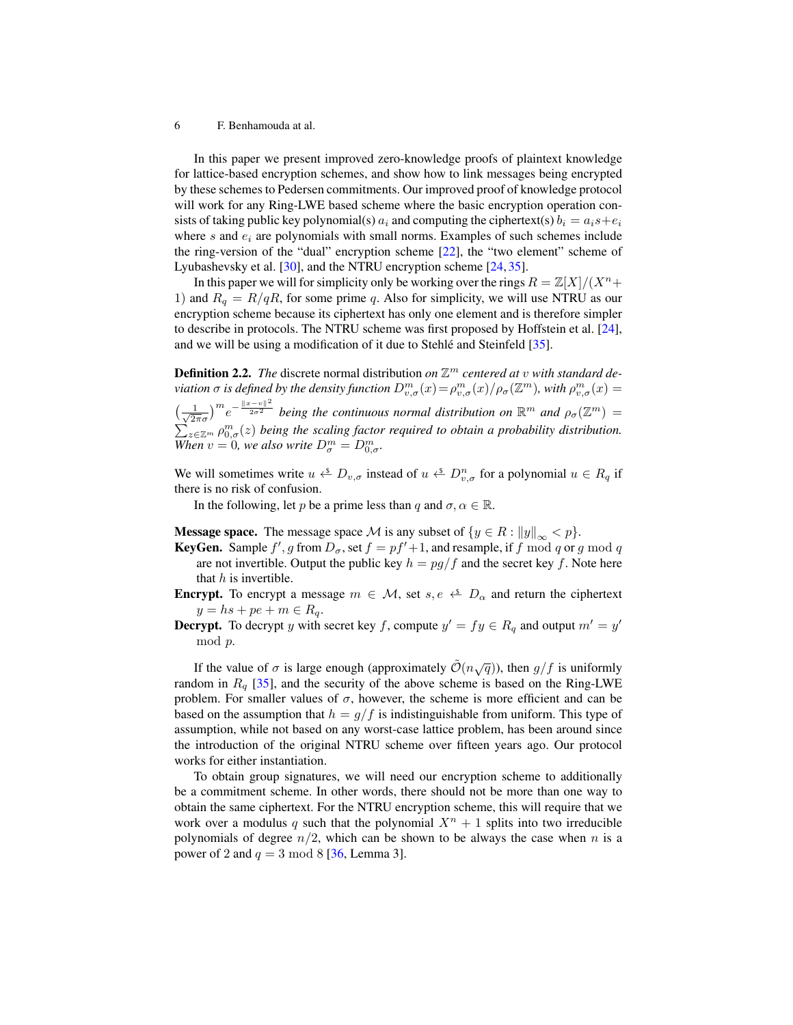In this paper we present improved zero-knowledge proofs of plaintext knowledge for lattice-based encryption schemes, and show how to link messages being encrypted by these schemes to Pedersen commitments. Our improved proof of knowledge protocol will work for any Ring-LWE based scheme where the basic encryption operation consists of taking public key polynomial(s)  $a_i$  and computing the ciphertext(s)  $b_i = a_i s + e_i$ where  $s$  and  $e_i$  are polynomials with small norms. Examples of such schemes include the ring-version of the "dual" encryption scheme [\[22\]](#page-20-2), the "two element" scheme of Lyubashevsky et al. [\[30\]](#page-20-4), and the NTRU encryption scheme [\[24,](#page-20-3) [35\]](#page-20-5).

In this paper we will for simplicity only be working over the rings  $R = \mathbb{Z}[X]/(X^n +$ 1) and  $R_q = R/qR$ , for some prime q. Also for simplicity, we will use NTRU as our encryption scheme because its ciphertext has only one element and is therefore simpler to describe in protocols. The NTRU scheme was first proposed by Hoffstein et al. [\[24\]](#page-20-3), and we will be using a modification of it due to Stehle and Steinfeld  $[35]$  $[35]$ .

**Definition 2.2.** The discrete normal distribution on  $\mathbb{Z}^m$  centered at v with standard de*viation*  $\sigma$  *is defined by the density function*  $D_{v,\sigma}^m(x) = \rho_{v,\sigma}^m(x)/\rho_{\sigma}(\mathbb{Z}^m)$ *, with*  $\rho_{v,\sigma}^m(x) =$  $\left(\frac{1}{\sqrt{2}}\right)$  $\frac{1}{2\pi\sigma}$ )<sup>m</sup>  $e^{-\frac{||x-v||^2}{2\sigma^2}}$  being the continuous normal distribution on  $\mathbb{R}^m$  and  $\rho_\sigma(\mathbb{Z}^m)$  =  $\sum_{z\in\mathbb{Z}^m}\rho_{0,\sigma}^m(z)$  *being the scaling factor required to obtain a probability distribution. When*  $v = 0$ *, we also write*  $D^m_{\sigma} = D^m_{0,\sigma}$ *.* 

We will sometimes write  $u \leftarrow b_{v,\sigma}$  instead of  $u \leftarrow b_{v,\sigma}$  for a polynomial  $u \in R_q$  if there is no risk of confusion.

In the following, let p be a prime less than q and  $\sigma, \alpha \in \mathbb{R}$ .

**Message space.** The message space M is any subset of  $\{y \in R : ||y||_{\infty} < p\}.$ 

- **KeyGen.** Sample  $f'$ , g from  $D_{\sigma}$ , set  $f = pf' + 1$ , and resample, if f mod q or g mod q are not invertible. Output the public key  $h = pg/f$  and the secret key f. Note here that  $h$  is invertible.
- **Encrypt.** To encrypt a message  $m \in \mathcal{M}$ , set  $s, e \leftrightarrow D_\alpha$  and return the ciphertext  $y = hs + pe + m \in R_q.$
- **Decrypt.** To decrypt y with secret key f, compute  $y' = fy \in R_q$  and output  $m' = y'$ mod p.

If the value of  $\sigma$  is large enough (approximately  $\tilde{\mathcal{O}}(n\sqrt{q})$ ), then  $g/f$  is uniformly random in  $R_q$  [\[35\]](#page-20-5), and the security of the above scheme is based on the Ring-LWE problem. For smaller values of  $\sigma$ , however, the scheme is more efficient and can be based on the assumption that  $h = g/f$  is indistinguishable from uniform. This type of assumption, while not based on any worst-case lattice problem, has been around since the introduction of the original NTRU scheme over fifteen years ago. Our protocol works for either instantiation.

To obtain group signatures, we will need our encryption scheme to additionally be a commitment scheme. In other words, there should not be more than one way to obtain the same ciphertext. For the NTRU encryption scheme, this will require that we work over a modulus q such that the polynomial  $X^n + 1$  splits into two irreducible polynomials of degree  $n/2$ , which can be shown to be always the case when n is a power of 2 and  $q = 3 \text{ mod } 8$  [\[36,](#page-20-15) Lemma 3].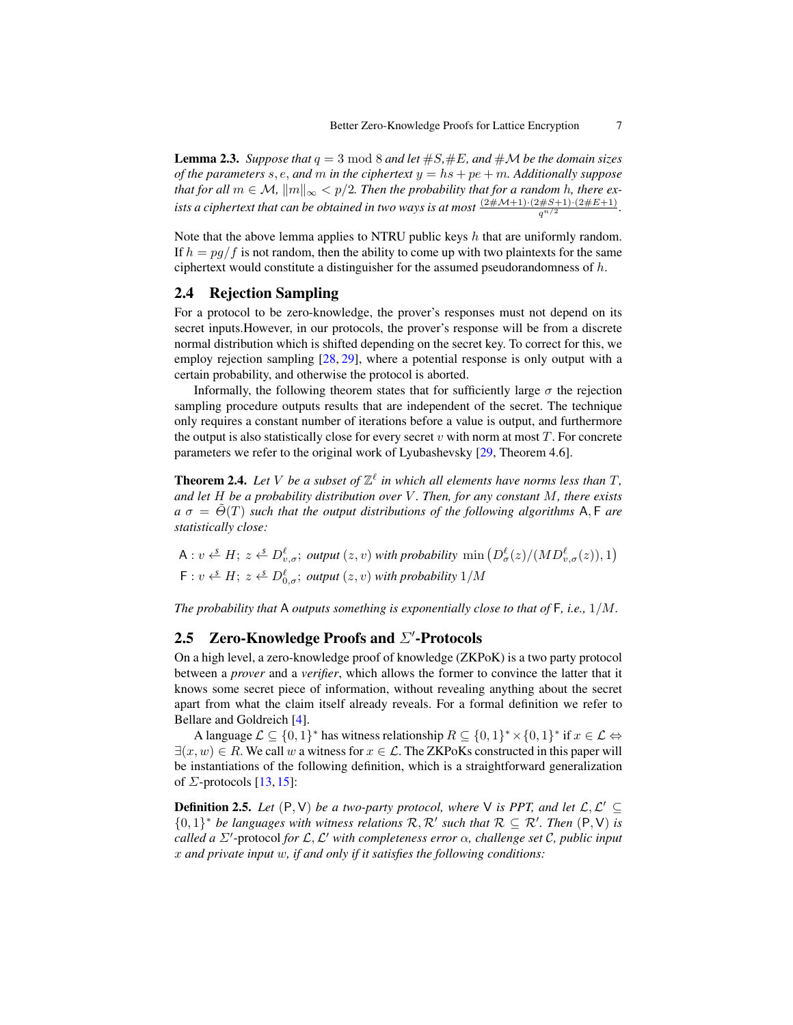**Lemma 2.3.** *Suppose that*  $q = 3 \text{ mod } 8$  *and let*  $#S$ ,  $#E$ *, and*  $#M$  *be the domain sizes of the parameters* s, e, and m in the ciphertext  $y = hs + pe + m$ . Additionally suppose *that for all*  $m \in \mathcal{M}$ ,  $\|m\|_{\infty} < p/2$ . Then the probability that for a random h, there ex*ists a ciphertext that can be obtained in two ways is at most*  $\frac{(2\# \mathcal{M}+1)\cdot(2\# \mathcal{S}+1)\cdot(2\# \mathcal{E}+1)}{q^{n/2}}$ .

Note that the above lemma applies to NTRU public keys  $h$  that are uniformly random. If  $h = pq/f$  is not random, then the ability to come up with two plaintexts for the same ciphertext would constitute a distinguisher for the assumed pseudorandomness of  $h$ .

### 2.4 Rejection Sampling

For a protocol to be zero-knowledge, the prover's responses must not depend on its secret inputs.However, in our protocols, the prover's response will be from a discrete normal distribution which is shifted depending on the secret key. To correct for this, we employ rejection sampling [\[28,](#page-20-11) [29\]](#page-20-10), where a potential response is only output with a certain probability, and otherwise the protocol is aborted.

Informally, the following theorem states that for sufficiently large  $\sigma$  the rejection sampling procedure outputs results that are independent of the secret. The technique only requires a constant number of iterations before a value is output, and furthermore the output is also statistically close for every secret v with norm at most  $T$ . For concrete parameters we refer to the original work of Lyubashevsky [\[29,](#page-20-10) Theorem 4.6].

<span id="page-6-0"></span>**Theorem 2.4.** Let V be a subset of  $\mathbb{Z}^{\ell}$  in which all elements have norms less than T, *and let* H *be a probability distribution over* V *. Then, for any constant* M*, there exists*  $a \sigma = \Theta(T)$  *such that the output distributions of the following algorithms* A, F *are statistically close:*

 $A: v \stackrel{\varepsilon}{\leftarrow} H; z \stackrel{\varepsilon}{\leftarrow} D_{v,\sigma}^{\ell};$  *output*  $(z, v)$  *with probability*  $\min (D_{\sigma}^{\ell}(z)/(MD_{v,\sigma}^{\ell}(z)), 1)$  $\mathsf{F}: v \xleftarrow{\$} H; z \xleftarrow{\$} D_{0,\sigma}^{\ell};$  *output*  $(z, v)$  *with probability*  $1/M$ 

*The probability that* A *outputs something is exponentially close to that of* F*, i.e.,* 1/M*.*

## <span id="page-6-2"></span>2.5 Zero-Knowledge Proofs and  $\Sigma'$ -Protocols

On a high level, a zero-knowledge proof of knowledge (ZKPoK) is a two party protocol between a *prover* and a *verifier*, which allows the former to convince the latter that it knows some secret piece of information, without revealing anything about the secret apart from what the claim itself already reveals. For a formal definition we refer to Bellare and Goldreich [\[4\]](#page-19-7).

A language  $\mathcal{L} \subseteq \{0,1\}^*$  has witness relationship  $R \subseteq \{0,1\}^* \times \{0,1\}^*$  if  $x \in \mathcal{L} \Leftrightarrow$  $\exists (x, w) \in R$ . We call w a witness for  $x \in \mathcal{L}$ . The ZKPoKs constructed in this paper will be instantiations of the following definition, which is a straightforward generalization of  $\Sigma$ -protocols [\[13,](#page-19-8) [15\]](#page-19-9):

<span id="page-6-1"></span>**Definition 2.5.** Let  $(P, V)$  be a two-party protocol, where V is PPT, and let  $\mathcal{L}, \mathcal{L}' \subseteq$  $\{0,1\}^*$  *be languages with witness relations*  $\mathcal{R}, \mathcal{R}'$  such that  $\mathcal{R} \subseteq \mathcal{R}'$ . Then  $(P, V)$  is *called a Σ'*-protocol *for L, L' with completeness error*  $\alpha$ *, challenge set C, public input* x *and private input* w*, if and only if it satisfies the following conditions:*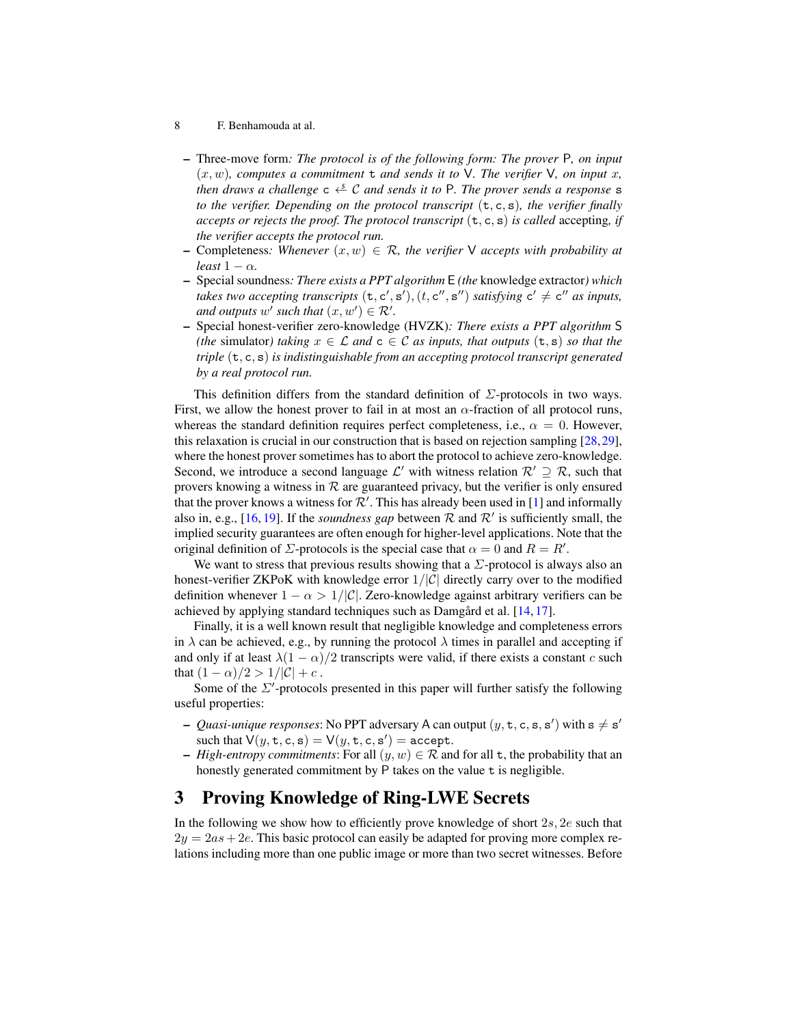- 8 F. Benhamouda at al.
- Three-move form*: The protocol is of the following form: The prover* P*, on input*  $(x, w)$ *, computes a commitment*  $\tau$  *and sends it to*  $\vee$ *. The verifier*  $\vee$ *, on input* x*, then draws a challenge*  $c \leftrightarrow c$  *and sends it to* P. The prover sends a response s *to the verifier. Depending on the protocol transcript*  $(t, c, s)$ *, the verifier finally accepts or rejects the proof. The protocol transcript*  $(t, c, s)$  *is called accepting, if the verifier accepts the protocol run.*
- Completeness*: Whenever* (x, w) ∈ R*, the verifier* V *accepts with probability at least*  $1 - \alpha$ *.*
- Special soundness*: There exists a PPT algorithm* E *(the* knowledge extractor*) which* takes two accepting transcripts  $(t, c', s')$ ,  $(t, c'', s'')$  satisfying  $c' \neq c''$  as inputs, *and outputs*  $w'$  *such that*  $(x, w') \in \mathcal{R}'$ .
- Special honest-verifier zero-knowledge (HVZK)*: There exists a PPT algorithm* S *(the simulator) taking*  $x \in \mathcal{L}$  *and*  $c \in \mathcal{C}$  *as inputs, that outputs*  $(t, s)$  *so that the triple* (t, c, s) *is indistinguishable from an accepting protocol transcript generated by a real protocol run.*

This definition differs from the standard definition of  $\Sigma$ -protocols in two ways. First, we allow the honest prover to fail in at most an  $\alpha$ -fraction of all protocol runs, whereas the standard definition requires perfect completeness, i.e.,  $\alpha = 0$ . However, this relaxation is crucial in our construction that is based on rejection sampling [\[28,](#page-20-11)[29\]](#page-20-10), where the honest prover sometimes has to abort the protocol to achieve zero-knowledge. Second, we introduce a second language  $\mathcal{L}'$  with witness relation  $\mathcal{R}' \supseteq \mathcal{R}$ , such that provers knowing a witness in  $R$  are guaranteed privacy, but the verifier is only ensured that the prover knows a witness for  $\mathcal{R}'$ . This has already been used in [\[1\]](#page-19-10) and informally also in, e.g., [\[16,](#page-19-11) [19\]](#page-20-16). If the *soundness gap* between  $R$  and  $R'$  is sufficiently small, the implied security guarantees are often enough for higher-level applications. Note that the original definition of  $\Sigma$ -protocols is the special case that  $\alpha = 0$  and  $R = R'$ .

We want to stress that previous results showing that a  $\Sigma$ -protocol is always also an honest-verifier ZKPoK with knowledge error  $1/|C|$  directly carry over to the modified definition whenever  $1 - \alpha > 1/|\mathcal{C}|$ . Zero-knowledge against arbitrary verifiers can be achieved by applying standard techniques such as Damgård et al. [[14,](#page-19-12) [17\]](#page-19-13).

Finally, it is a well known result that negligible knowledge and completeness errors in  $\lambda$  can be achieved, e.g., by running the protocol  $\lambda$  times in parallel and accepting if and only if at least  $\lambda(1-\alpha)/2$  transcripts were valid, if there exists a constant c such that  $(1 - \alpha)/2 > 1/|\mathcal{C}| + c$ .

Some of the  $\Sigma'$ -protocols presented in this paper will further satisfy the following useful properties:

- *Quasi-unique responses*: No PPT adversary A can output  $(y, t, c, s, s')$  with  $s \neq s'$ such that  $V(y, t, c, s) = V(y, t, c, s') = acc$ ept.
- *High-entropy commitments*: For all  $(y, w) \in \mathcal{R}$  and for all t, the probability that an honestly generated commitment by P takes on the value t is negligible.

## <span id="page-7-0"></span>3 Proving Knowledge of Ring-LWE Secrets

In the following we show how to efficiently prove knowledge of short  $2s$ ,  $2e$  such that  $2y = 2as + 2e$ . This basic protocol can easily be adapted for proving more complex relations including more than one public image or more than two secret witnesses. Before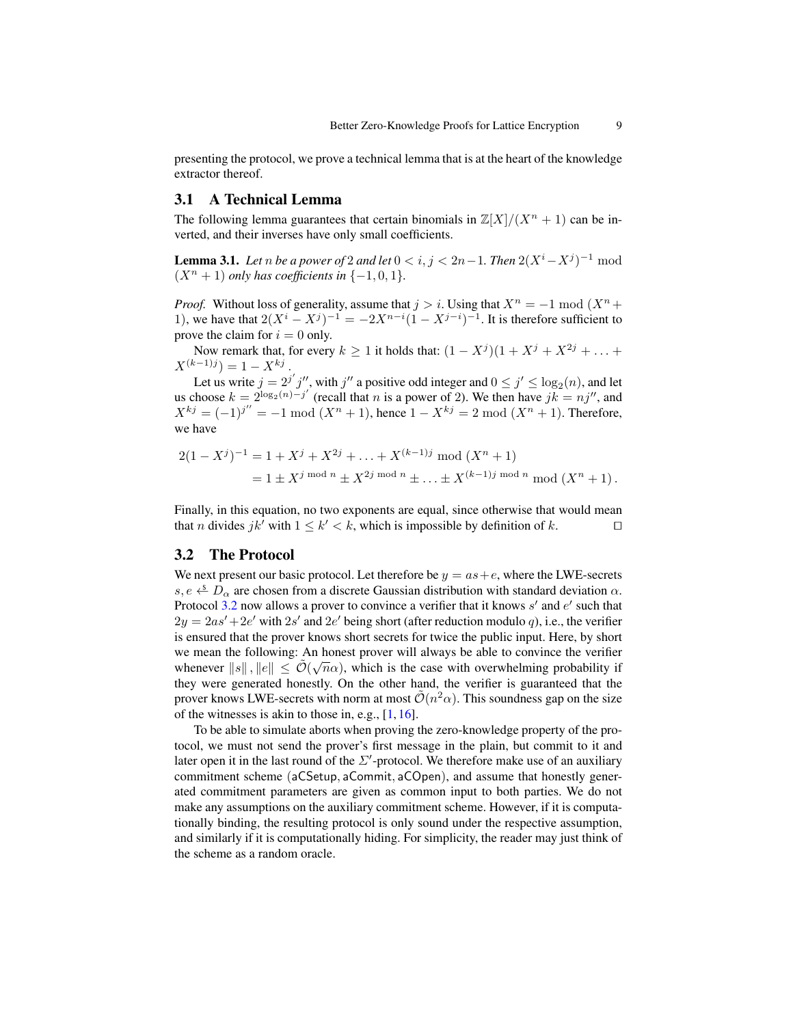presenting the protocol, we prove a technical lemma that is at the heart of the knowledge extractor thereof.

### <span id="page-8-0"></span>3.1 A Technical Lemma

<span id="page-8-1"></span>The following lemma guarantees that certain binomials in  $\mathbb{Z}[X]/(X^n + 1)$  can be inverted, and their inverses have only small coefficients.

**Lemma 3.1.** *Let* n *be a power of* 2 *and let*  $0 < i, j < 2n-1$ *. Then*  $2(X^i - X^j)^{-1}$  mod  $(X<sup>n</sup> + 1)$  *only has coefficients in*  $\{-1, 0, 1\}.$ 

*Proof.* Without loss of generality, assume that  $j > i$ . Using that  $X^n = -1 \mod (X^n +$ 1), we have that  $2(X^{i} - X^{j})^{-1} = -2X^{n-i}(1 - X^{j-i})^{-1}$ . It is therefore sufficient to prove the claim for  $i = 0$  only.

Now remark that, for every  $k \geq 1$  it holds that:  $(1 - X^j)(1 + X^j + X^{2j} + \dots +$  $X^{(k-1)j}$ ) = 1 –  $X^{kj}$ .

Let us write  $j = 2^{j'}j''$ , with  $j''$  a positive odd integer and  $0 \le j' \le \log_2(n)$ , and let us choose  $k = 2^{\log_2(n) - j'}$  (recall that n is a power of 2). We then have  $jk = nj''$ , and  $X^{kj} = (-1)^{j''} = -1 \mod (X^n + 1)$ , hence  $1 - X^{kj} = 2 \mod (X^n + 1)$ . Therefore, we have

$$
2(1 - Xj)-1 = 1 + Xj + X2j + ... + X(k-1)j \text{ mod } (Xn + 1)
$$
  
= 1 ± X<sup>j</sup> mod  $n$  ± X<sup>2j</sup> mod  $n$  ± ... ± X<sup>(k-1)j</sup> mod  $n$  mod  $(Xn + 1)$ .

Finally, in this equation, no two exponents are equal, since otherwise that would mean that *n* divides  $jk'$  with  $1 \leq k' < k$ , which is impossible by definition of k.

### 3.2 The Protocol

We next present our basic protocol. Let therefore be  $y = as + e$ , where the LWE-secrets s,  $e \leftrightarrow D_{\alpha}$  are chosen from a discrete Gaussian distribution with standard deviation  $\alpha$ . Protocol [3.2](#page-9-0) now allows a prover to convince a verifier that it knows  $s'$  and  $e'$  such that  $2y = 2as' + 2e'$  with  $2s'$  and  $2e'$  being short (after reduction modulo q), i.e., the verifier is ensured that the prover knows short secrets for twice the public input. Here, by short we mean the following: An honest prover will always be able to convince the verifier whenever  $||s||$ ,  $||e|| \le \tilde{O}(\sqrt{n}\alpha)$ , which is the case with overwhelming probability if they were generated honestly. On the other hand, the verifier is guaranteed that the prover knows LWE-secrets with norm at most  $\tilde{\mathcal{O}}(n^2\alpha)$ . This soundness gap on the size of the witnesses is akin to those in, e.g., [\[1,](#page-19-10) [16\]](#page-19-11).

To be able to simulate aborts when proving the zero-knowledge property of the protocol, we must not send the prover's first message in the plain, but commit to it and later open it in the last round of the  $\Sigma'$ -protocol. We therefore make use of an auxiliary commitment scheme (aCSetup, aCommit, aCOpen), and assume that honestly generated commitment parameters are given as common input to both parties. We do not make any assumptions on the auxiliary commitment scheme. However, if it is computationally binding, the resulting protocol is only sound under the respective assumption, and similarly if it is computationally hiding. For simplicity, the reader may just think of the scheme as a random oracle.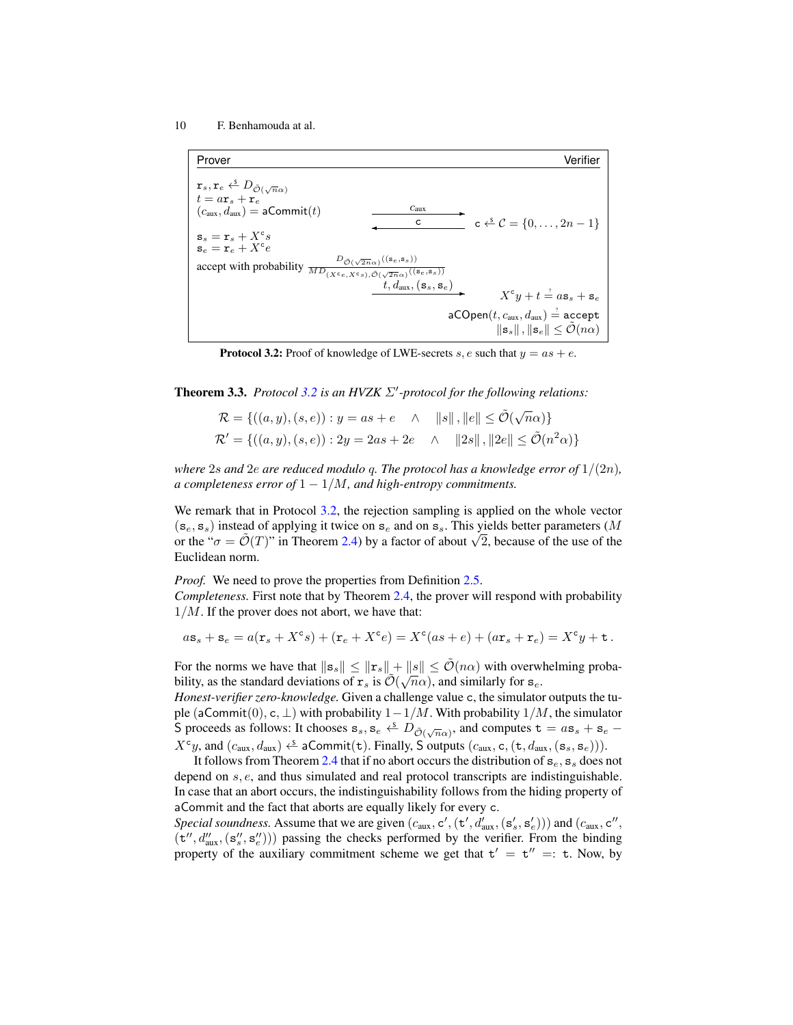Prover **Verifier**  $\mathtt{r}_s, \mathtt{r}_e \overset{\hspace{0.1em}\mathsf{\scriptscriptstyle\$}}{\leftarrow} D_{\tilde{\mathcal{O}}(\sqrt{n}\alpha)}$  $t = a \mathbf{r}_s + \mathbf{r}_e$  $(c<sub>aux</sub>, d<sub>aux</sub>) = **aCommit**(t)$  $c_{\text{aux}}$ c  $c \xrightarrow{f} C = \{0, \ldots, 2n - 1\}$  $\mathbf{s}_s = \mathbf{r}_s + X^{\mathsf{c}} s$  $\mathbf{s}_e = \mathbf{r}_e + X^{\mathsf{c}} e$ accept with probability  $\frac{1}{ML}$  $D_{\tilde{\mathcal{O}}(\sqrt{2n}\alpha)}((\mathbf{s}_e, \mathbf{s}_s))$  $\overline{MD}_{(X^{\mathsf{c}}e, X^{\mathsf{c}}s), \tilde{\mathcal{O}}(\sqrt{2n}\alpha)^{((\mathbf{s}_e, \mathbf{s}_s))}}$  $t, d_\text{aux}, (\mathtt{s}_s, \mathtt{s}_e)$  $^{\mathtt{c}} y + t \stackrel{\text{\tiny ?}}{=} a \mathtt{s}_{s} + \mathtt{s}_{e}$ <code>aCOpen</code> $(t, c_\text{aux}, d_\text{aux}) \overset{\text{\tiny ?}}{=} \text{\texttt{accept}}$  $\|\mathbf{s}_s\|$ ,  $\|\mathbf{s}_e\| \leq \tilde{\mathcal{O}}(n\alpha)$ 

**Protocol 3.2:** Proof of knowledge of LWE-secrets s, e such that  $y = as + e$ .

<span id="page-9-0"></span>**Theorem 3.3.** *Protocol [3.2](#page-9-0) is an HVZK*  $\Sigma'$ *-protocol for the following relations:* 

$$
\mathcal{R} = \{ ((a, y), (s, e)) : y = as + e \land ||s||, ||e|| \le \tilde{\mathcal{O}}(\sqrt{n}\alpha) \}
$$
  

$$
\mathcal{R}' = \{ ((a, y), (s, e)) : 2y = 2as + 2e \land ||2s||, ||2e|| \le \tilde{\mathcal{O}}(n^2\alpha) \}
$$

*where* 2s and 2e are reduced modulo q. The protocol has a knowledge error of  $1/(2n)$ *, a completeness error of* 1 − 1/M*, and high-entropy commitments.*

We remark that in Protocol [3.2,](#page-9-0) the rejection sampling is applied on the whole vector  $(s_e, s_s)$  instead of applying it twice on  $s_e$  and on  $s_s$ . This yields better parameters (M ( $\mathbf{s}_e$ ,  $\mathbf{s}_s$ ) instead of applying it twice on  $\mathbf{s}_e$  and on  $\mathbf{s}_s$ . This yields better parameters ( $M$  or the " $\sigma = \tilde{\mathcal{O}}(T)$ " in Theorem [2.4\)](#page-6-0) by a factor of about  $\sqrt{2}$ , because of the use of the Euclidean norm.

*Proof.* We need to prove the properties from Definition [2.5.](#page-6-1)

*Completeness.* First note that by Theorem [2.4,](#page-6-0) the prover will respond with probability  $1/M$ . If the prover does not abort, we have that:

$$
a\mathbf{s}_s + \mathbf{s}_e = a(\mathbf{r}_s + X^\mathbf{c}s) + (\mathbf{r}_e + X^\mathbf{c}e) = X^\mathbf{c}(as + e) + (a\mathbf{r}_s + \mathbf{r}_e) = X^\mathbf{c}y + \mathbf{t}.
$$

For the norms we have that  $\|\mathbf{s}_s\| \leq \|\mathbf{r}_s\| + \|s\| \leq \tilde{\mathcal{O}}(n\alpha)$  with overwhelming probability, as the standard deviations of  $\mathbf{r}_s$  is  $\tilde{\mathcal{O}}(\sqrt{n}\alpha)$ , and similarly for  $\mathbf{s}_e$ .

*Honest-verifier zero-knowledge.* Given a challenge value c, the simulator outputs the tuple (aCommit $(0), c, \perp$ ) with probability  $1-\frac{1}{M}$ . With probability  $\frac{1}{M}$ , the simulator S proceeds as follows: It chooses  $s_s$ ,  $s_e \stackrel{\$}{\leftarrow} D_{\tilde{O}(\sqrt{n}\alpha)}$ , and computes  $t = as_s + s_e X^c y$ , and  $(c_{\text{aux}}, d_{\text{aux}}) \overset{\simeq}{\longleftrightarrow}$  aCommit(t). Finally, S outputs  $(c_{\text{aux}}, c, (t, d_{\text{aux}}, (s_s, s_e))).$ 

It follows from Theorem [2.4](#page-6-0) that if no abort occurs the distribution of  $s_e$ ,  $s_s$  does not depend on  $s, e$ , and thus simulated and real protocol transcripts are indistinguishable. In case that an abort occurs, the indistinguishability follows from the hiding property of aCommit and the fact that aborts are equally likely for every c.

*Special soundness.* Assume that we are given  $(c_{\text{aux}}, c', (t', d'_{\text{aux}}, (s'_s, s'_e)))$  and  $(c_{\text{aux}}, c'',$  $(t'', d''_{aux}, (s''_s, s''_e)))$  passing the checks performed by the verifier. From the binding property of the auxiliary commitment scheme we get that  $t' = t'' =: t$ . Now, by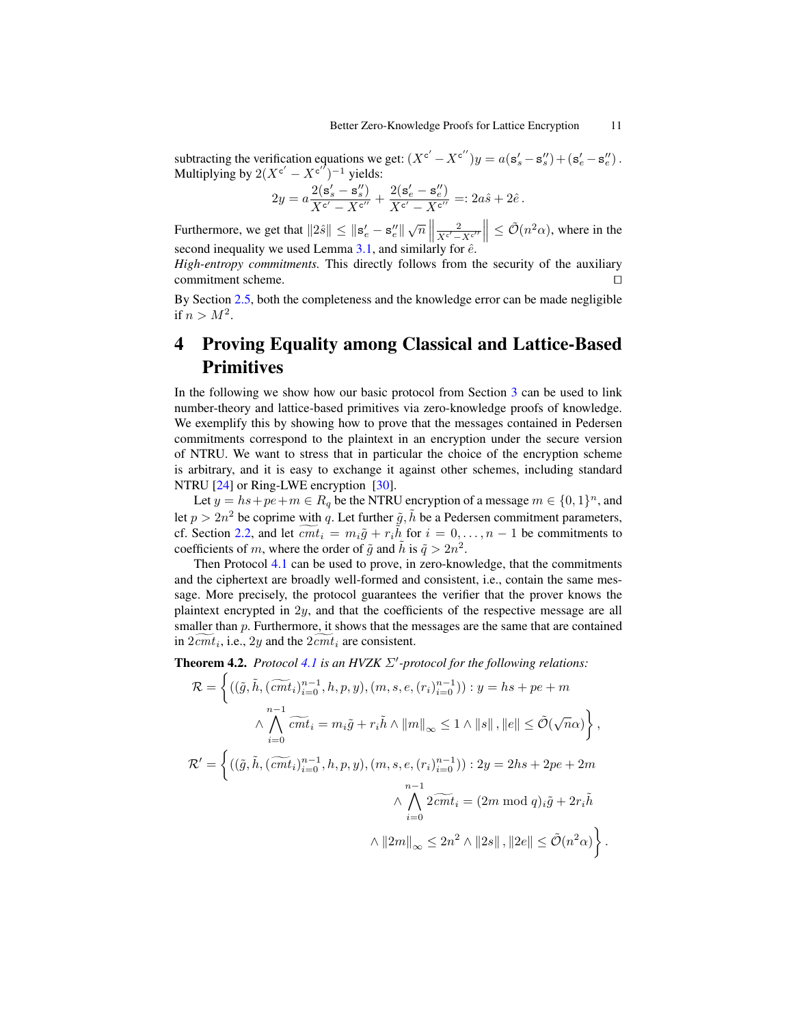subtracting the verification equations we get:  $(X^{c'} - X^{c''})y = a(\mathbf{s}'_s - \mathbf{s}''_s) + (\mathbf{s}'_e - \mathbf{s}''_e)$ . Multiplying by  $2(X^{c'} - X^{c''})^{-1}$  yields:

$$
2y = a \frac{2({\bf s}_s' - {\bf s}_s'')}{X^{{\bf c}'} - X^{{\bf c}''}} + \frac{2({\bf s}_e' - {\bf s}_e'')}{X^{{\bf c}'} - X^{{\bf c}''}} =: 2a\hat{s} + 2\hat{e}.
$$

Furthermore, we get that  $||2\hat{s}|| \le ||\mathbf{s}'_e - \mathbf{s}''_e|| \sqrt{n} ||$ 2  $\frac{2}{X^{c'} - X^{c''}}$   $\leq \tilde{\mathcal{O}}(n^2 \alpha)$ , where in the second inequality we used Lemma [3.1,](#page-8-1) and similarly for  $\hat{e}$ .

*High-entropy commitments.* This directly follows from the security of the auxiliary commitment scheme.  $\Box$ 

By Section [2.5,](#page-6-2) both the completeness and the knowledge error can be made negligible if  $n > M^2$ .

# <span id="page-10-0"></span>4 Proving Equality among Classical and Lattice-Based **Primitives**

In the following we show how our basic protocol from Section [3](#page-7-0) can be used to link number-theory and lattice-based primitives via zero-knowledge proofs of knowledge. We exemplify this by showing how to prove that the messages contained in Pedersen commitments correspond to the plaintext in an encryption under the secure version of NTRU. We want to stress that in particular the choice of the encryption scheme is arbitrary, and it is easy to exchange it against other schemes, including standard NTRU [\[24\]](#page-20-3) or Ring-LWE encryption [\[30\]](#page-20-4).

Let  $y = hs + pe + m \in R_q$  be the NTRU encryption of a message  $m \in \{0, 1\}^n$ , and let  $p > 2n^2$  be coprime with q. Let further  $\tilde{g}, \tilde{h}$  be a Pedersen commitment parameters, cf. Section [2.2,](#page-4-0) and let  $\overline{cm}t_i = m_i\tilde{g} + r_i\tilde{h}$  for  $i = 0, \ldots, n - 1$  be commitments to coefficients of m, where the order of  $\tilde{g}$  and  $\tilde{h}$  is  $\tilde{q} > 2n^2$ .

Then Protocol [4.1](#page-11-0) can be used to prove, in zero-knowledge, that the commitments and the ciphertext are broadly well-formed and consistent, i.e., contain the same message. More precisely, the protocol guarantees the verifier that the prover knows the plaintext encrypted in 2y, and that the coefficients of the respective message are all smaller than  $p$ . Furthermore, it shows that the messages are the same that are contained in  $2cmt_i$ , i.e., 2y and the  $2cmt_i$  are consistent.

<span id="page-10-1"></span>**Theorem 4.2.** *Protocol [4.1](#page-11-0) is an HVZK*  $\Sigma'$ *-protocol for the following relations:* 

$$
\mathcal{R} = \left\{ \left( (\tilde{g}, \tilde{h}, (\widetilde{cmt}_i)_{i=0}^{n-1}, h, p, y), (m, s, e, (r_i)_{i=0}^{n-1}) \right) : y = hs + pe + m \right\}
$$
  

$$
\wedge \bigwedge_{i=0}^{n-1} \widetilde{cmt}_i = m_i \tilde{g} + r_i \tilde{h} \wedge ||m||_{\infty} \le 1 \wedge ||s||, ||e|| \le \tilde{O}(\sqrt{n}\alpha) \right\},
$$
  

$$
\mathcal{R}' = \left\{ \left( (\tilde{g}, \tilde{h}, (\widetilde{cmt}_i)_{i=0}^{n-1}, h, p, y), (m, s, e, (r_i)_{i=0}^{n-1}) \right) : 2y = 2hs + 2pe + 2m \right\}
$$
  

$$
\wedge \bigwedge_{i=0}^{n-1} 2\widetilde{cmt}_i = (2m \bmod q)_i \tilde{g} + 2r_i \tilde{h}
$$
  

$$
\wedge ||2m||_{\infty} \le 2n^2 \wedge ||2s||, ||2e|| \le \tilde{O}(n^2 \alpha) \right\}.
$$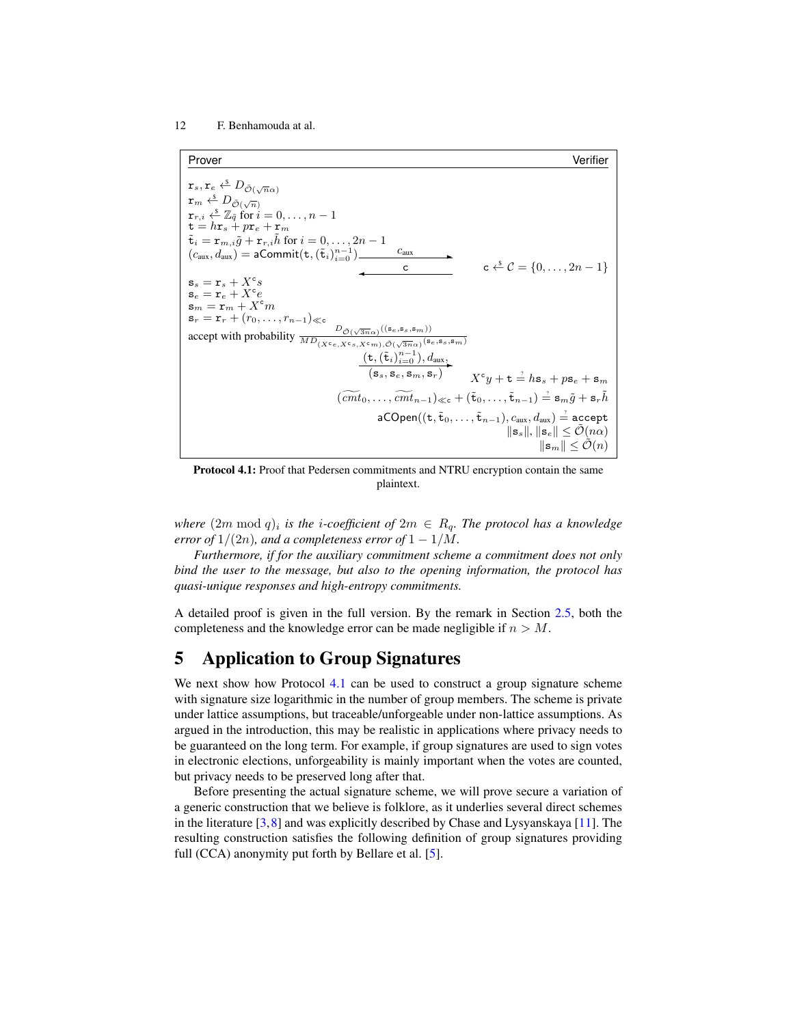Prover **Prover Account Account Account Account Account Account Account Account Account Account Account Account**  $\mathtt{r}_s, \mathtt{r}_e \overset{\hspace{0.1em}\mathsf{\scriptscriptstyle\$}}{\leftarrow} D_{\tilde{\mathcal{O}}(\sqrt{n}\alpha)}$  ${\mathtt r}_m \overset{\hspace{0.1em}\mathsf{\scriptscriptstyle\$}}{\leftarrow} D_{\tilde{\mathcal{O}}(\sqrt{n})}$  ${\bf r}_{r,i} \stackrel{\S}{\leftarrow} \mathbb{Z}_q \stackrel{\S}{\rm for} i = 0,\ldots,n-1$  $\mathtt{t} = h \mathtt{r}_s + p \mathtt{r}_e + \mathtt{r}_m$  $\tilde{\mathbf{t}}_i = \mathbf{r}_{m,i}\tilde{g} + \mathbf{r}_{r,i}\tilde{h}$  for  $i = 0, \ldots, 2n - 1$  $(c_{\text{aux}}, d_{\text{aux}}) = \text{aCommit}(\texttt{t}, (\tilde{\texttt{t}}_i)_{i=0}^{n-1})$  $c_{\text{aux}}$ c ←\$ ✛ c C = {0, . . . , 2n − 1}  $\mathbf{s}_s = \mathbf{r}_s + X^{\mathsf{c}} s$  $\mathbf{s}_e = \mathbf{r}_e + X^c e$  $\mathbf{s}_m = \mathbf{r}_m + X^{\mathsf{c}} m$  $\mathtt{s}_r = \mathtt{r}_r + (r_0, \ldots, r_{n-1})_{\ll \mathtt{c}}$ accept with probability  $\frac{D_{\tilde{\mathcal{O}}(\sqrt{3n}\alpha)}((s_e, s_s, s_m))}{MD}$  $\overline{MD}_{(X^{\mathsf{c}}e, X^{\mathsf{c}}s, X^{\mathsf{c}}m), \tilde{\mathcal{O}}(\sqrt{3n}\alpha)}(\mathbf{s}_e, \mathbf{s}_s, \mathbf{s}_m)$  $(\texttt{t},(\tilde{\texttt{t}}_i)_{i=0}^{n-1}), d_{\text{aux}},$  $(\mathtt{s}_s,\mathtt{s}_e,\mathtt{s}_m,\mathtt{s}_r) \qquad X^\mathtt{c} y+\mathtt{t} \stackrel{\text{\tiny ?}}{=} h\mathtt{s}_s+p\mathtt{s}_e+\mathtt{s}_m$  $(\widetilde{cmt}_0, \ldots, \widetilde{cmt}_{n-1})_{\ll \mathsf{c}} + (\tilde{\mathsf{t}}_0, \ldots, \tilde{\mathsf{t}}_{n-1}) \stackrel{\cdot}{=} \mathsf{s}_m \tilde{g} + \mathsf{s}_r \tilde{h}$  $\mathsf{aCOpen}((\mathtt{t},\tilde{\mathtt{t}}_0,\ldots,\tilde{\mathtt{t}}_{n-1}), c_\mathsf{aux}, d_\mathsf{aux}) \overset{\text{\tiny ?}}{=} \mathtt{accept}$  $\|\mathbf{s}_s\|, \|\mathbf{s}_e\| \leq \tilde{\mathcal{O}}(n\alpha)$  $\|\mathbf{s}_m\| \leq \tilde{\mathcal{O}}(n)$ 

<span id="page-11-0"></span>Protocol 4.1: Proof that Pedersen commitments and NTRU encryption contain the same plaintext.

*where*  $(2m \bmod q)_i$  *is the i-coefficient of*  $2m \in R_q$ . The protocol has a knowledge *error of*  $1/(2n)$ *, and a completeness error of*  $1 - 1/M$ *.* 

*Furthermore, if for the auxiliary commitment scheme a commitment does not only bind the user to the message, but also to the opening information, the protocol has quasi-unique responses and high-entropy commitments.*

A detailed proof is given in the full version. By the remark in Section [2.5,](#page-6-2) both the completeness and the knowledge error can be made negligible if  $n > M$ .

### 5 Application to Group Signatures

We next show how Protocol [4.1](#page-11-0) can be used to construct a group signature scheme with signature size logarithmic in the number of group members. The scheme is private under lattice assumptions, but traceable/unforgeable under non-lattice assumptions. As argued in the introduction, this may be realistic in applications where privacy needs to be guaranteed on the long term. For example, if group signatures are used to sign votes in electronic elections, unforgeability is mainly important when the votes are counted, but privacy needs to be preserved long after that.

Before presenting the actual signature scheme, we will prove secure a variation of a generic construction that we believe is folklore, as it underlies several direct schemes in the literature  $[3,8]$  $[3,8]$  and was explicitly described by Chase and Lysyanskaya  $[11]$ . The resulting construction satisfies the following definition of group signatures providing full (CCA) anonymity put forth by Bellare et al. [\[5\]](#page-19-14).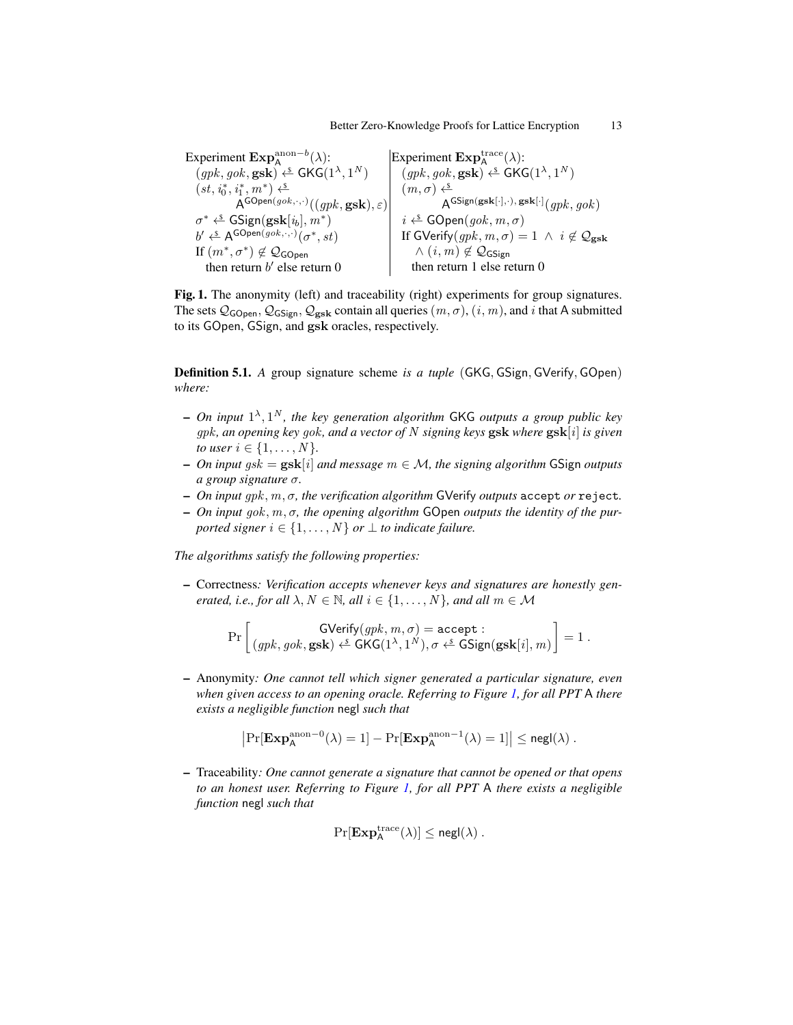<span id="page-12-0"></span>Experiment  $\mathrm{Exp}^{\mathrm{anon}-b}_{\mathsf{A}}(\lambda)$ :  $(gpk, gok, gsk) \xleftarrow{s} \mathsf{GKG}(1^{\lambda}, 1^N)$  $(st,i_0^*,i_1^*,m^*) \xleftarrow{\mathsf{s}}$  $\mathsf{A}^{\mathsf{GOpen}(gok,\cdot,\cdot)}((gpk,\mathbf{gsk}),\varepsilon)$  $\sigma^* \stackrel{\$}{\leftarrow} \mathsf{GSign}(\mathbf{gsk}[i_b], m^*)$  $b' \xleftarrow{\$} A^{\mathsf{GOpen}(gok,\cdot,\cdot)}(\sigma^*, st)$ If  $(m^*, \sigma^*) \notin \mathcal{Q}_{\mathsf{GOpen}}$ then return  $b'$  else return 0 Experiment  $\text{Exp}^{\text{trace}}_{A}(\lambda)$ :  $(gpk, gok, gsk) \xleftarrow{s} \mathsf{GKG}(1^{\lambda}, 1^N)$  $(m, \sigma) \leftarrow$  $\mathsf{A}^{\mathsf{GSign}(\mathbf{gsk}[\cdot],\cdot),\,\mathbf{gsk}[\cdot]}(\mathit{gpk},\mathit{gok})$  $i \overset{\text{s}}{\leftarrow} \mathsf{GOpen}(gok, m, \sigma)$ If GVerify $(gpk, m, \sigma) = 1 \land i \notin \mathcal{Q}_{\text{gsk}}$  $\wedge$   $(i, m) \notin \mathcal{Q}_{\mathsf{GSign}}$ then return 1 else return 0

Fig. 1. The anonymity (left) and traceability (right) experiments for group signatures. The sets  $Q_{\text{GOpen}}, Q_{\text{GSign}}, Q_{\text{gsk}}$  contain all queries  $(m, \sigma), (i, m)$ , and i that A submitted to its GOpen, GSign, and gsk oracles, respectively.

Definition 5.1. *A* group signature scheme *is a tuple* (GKG, GSign, GVerify, GOpen) *where:*

- *On input* 1 λ , 1 <sup>N</sup> *, the key generation algorithm* GKG *outputs a group public key* gpk*, an opening key* gok*, and a vector of* N *signing keys* gsk *where* gsk[i] *is given to user*  $i \in \{1, ..., N\}$ *.*
- *On input* gsk = gsk[i] *and message* m ∈ M*, the signing algorithm* GSign *outputs a group signature* σ*.*
- *On input* gpk, m, σ*, the verification algorithm* GVerify *outputs* accept *or* reject*.*
- *On input* gok, m, σ*, the opening algorithm* GOpen *outputs the identity of the purported signer*  $i \in \{1, \ldots, N\}$  *or*  $\perp$  *to indicate failure.*

*The algorithms satisfy the following properties:*

– Correctness*: Verification accepts whenever keys and signatures are honestly generated, i.e., for all*  $\lambda, N \in \mathbb{N}$ *, all*  $i \in \{1, \dots, N\}$ *, and all*  $m \in \mathcal{M}$ 

$$
\Pr\left[\begin{matrix} \mathsf{GVerify}(gpk, m, \sigma) = \mathsf{accept} : \\ (gpk, gok, \mathsf{gsk}) \stackrel{\mathsf{\scriptscriptstyle \&}}{\leftarrow} \mathsf{GKG}(1^\lambda, 1^N), \sigma \stackrel{\mathsf{\scriptscriptstyle \&}}{\leftarrow} \mathsf{GSign}(\mathsf{gsk}[i], m) \end{matrix}\right] = 1 \,.
$$

– Anonymity*: One cannot tell which signer generated a particular signature, even when given access to an opening oracle. Referring to Figure [1,](#page-12-0) for all PPT* A *there exists a negligible function* negl *such that*

$$
\left|\Pr[\mathbf{Exp}_\mathsf{A}^{\mathrm{anon}-0}(\lambda)=1]-\Pr[\mathbf{Exp}_\mathsf{A}^{\mathrm{anon}-1}(\lambda)=1]\right|\leq \mathsf{negl}(\lambda)\ .
$$

– Traceability*: One cannot generate a signature that cannot be opened or that opens to an honest user. Referring to Figure [1,](#page-12-0) for all PPT* A *there exists a negligible function* negl *such that*

$$
\Pr[\mathbf{Exp}^{\mathrm{trace}}_A(\lambda)] \le \mathsf{negl}(\lambda)\ .
$$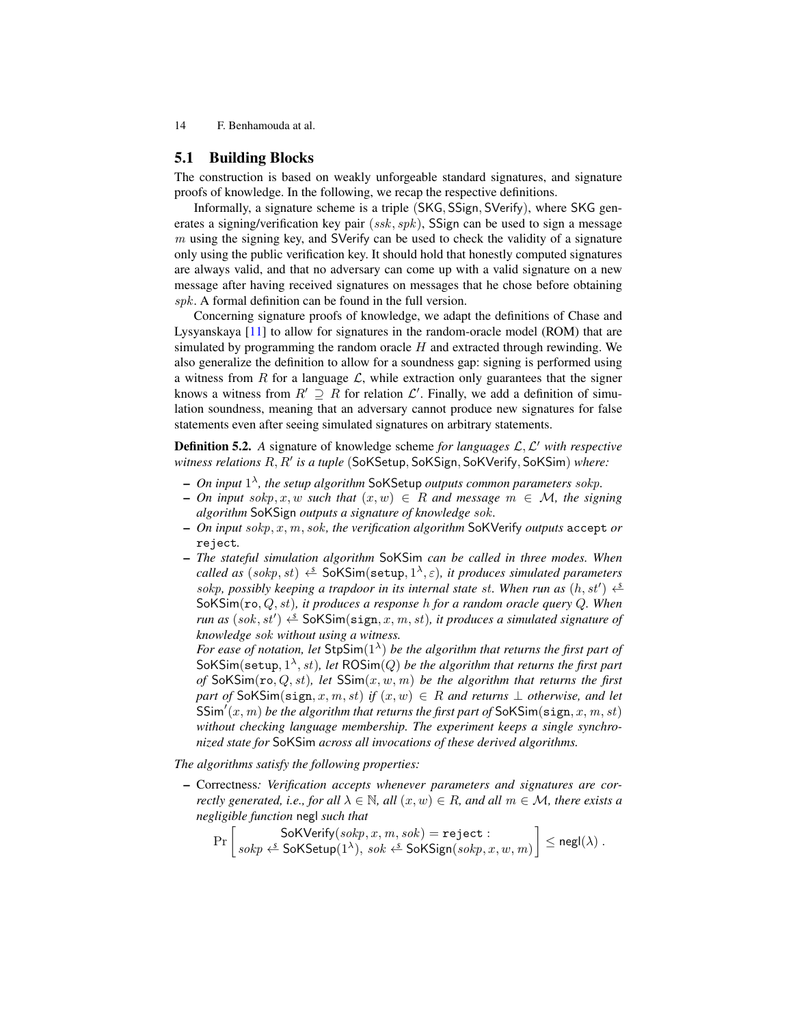#### 5.1 Building Blocks

The construction is based on weakly unforgeable standard signatures, and signature proofs of knowledge. In the following, we recap the respective definitions.

Informally, a signature scheme is a triple (SKG, SSign, SVerify), where SKG generates a signing/verification key pair  $(ssk, spk)$ , SSign can be used to sign a message  $m$  using the signing key, and SVerify can be used to check the validity of a signature only using the public verification key. It should hold that honestly computed signatures are always valid, and that no adversary can come up with a valid signature on a new message after having received signatures on messages that he chose before obtaining spk. A formal definition can be found in the full version.

Concerning signature proofs of knowledge, we adapt the definitions of Chase and Lysyanskaya [\[11\]](#page-19-6) to allow for signatures in the random-oracle model (ROM) that are simulated by programming the random oracle  $H$  and extracted through rewinding. We also generalize the definition to allow for a soundness gap: signing is performed using a witness from  $R$  for a language  $\mathcal{L}$ , while extraction only guarantees that the signer knows a witness from  $R' \supseteq R$  for relation  $\mathcal{L}'$ . Finally, we add a definition of simulation soundness, meaning that an adversary cannot produce new signatures for false statements even after seeing simulated signatures on arbitrary statements.

**Definition 5.2.** A signature of knowledge scheme for languages  $\mathcal{L}, \mathcal{L}'$  with respective witness relations  $R, R'$  is a tuple (SoKSetup, SoKSign, SoKVerify, SoKSim) where:

- *On input* 1 λ *, the setup algorithm* SoKSetup *outputs common parameters* sokp*.*
- *On input* sokp, x, w *such that* (x, w) ∈ R *and message* m ∈ M*, the signing algorithm* SoKSign *outputs a signature of knowledge* sok*.*
- *On input* sokp, x, m, sok*, the verification algorithm* SoKVerify *outputs* accept *or* reject*.*
- *The stateful simulation algorithm* SoKSim *can be called in three modes. When called as*  $(sokp, st) \overset{\simeq}{\longleftrightarrow} \mathsf{SokSim}(setup, 1^{\lambda}, \varepsilon)$ *, it produces simulated parameters* sokp, possibly keeping a trapdoor in its internal state st. When run as  $(h, st') \xleftarrow{s}$ SoKSim(ro, Q, st)*, it produces a response* h *for a random oracle query* Q*. When run as*  $(sok, st') \overset{\epsilon}{\leftarrow}$  SoKSim(sign, x, m, st), it produces a simulated signature of *knowledge* sok *without using a witness.*

For ease of notation, let  $\mathsf{StpSim}(1^\lambda)$  be the algorithm that returns the first part of  $\mathsf{SoKSim}(\mathsf{setup}, 1^\lambda, st)$ , let  $\mathsf{ROSim}(Q)$  *be the algorithm that returns the first part of* SoKSim(ro, Q, st)*, let* SSim(x, w, m) *be the algorithm that returns the first part of* SoKSim(sign, x, m, st) *if*  $(x, w) \in R$  *and returns*  $\perp$  *otherwise, and let*  $\mathsf{SSim}'(x,m)$  *be the algorithm that returns the first part of*  $\mathsf{SoKSim}(\mathtt{sign}, x, m, st)$ *without checking language membership. The experiment keeps a single synchronized state for* SoKSim *across all invocations of these derived algorithms.*

*The algorithms satisfy the following properties:*

– Correctness*: Verification accepts whenever parameters and signatures are correctly generated, i.e., for all*  $\lambda \in \mathbb{N}$ *, all*  $(x, w) \in R$ *, and all*  $m \in \mathcal{M}$ *, there exists a negligible function* negl *such that*

$$
\Pr\left[\begin{array}{c} \mathsf{SoKVerify}(sokp, x, m, sok) = \mathtt{reject} : \\ sokp \stackrel{\simeq}{\longleftrightarrow} \mathsf{SoKSetup}(1^{\lambda}), \; sok \stackrel{\simeq}{\longleftrightarrow} \mathsf{SoKSign}(sokp, x, w, m) \end{array}\right] \leq {\mathsf{negl}}(\lambda) \; .
$$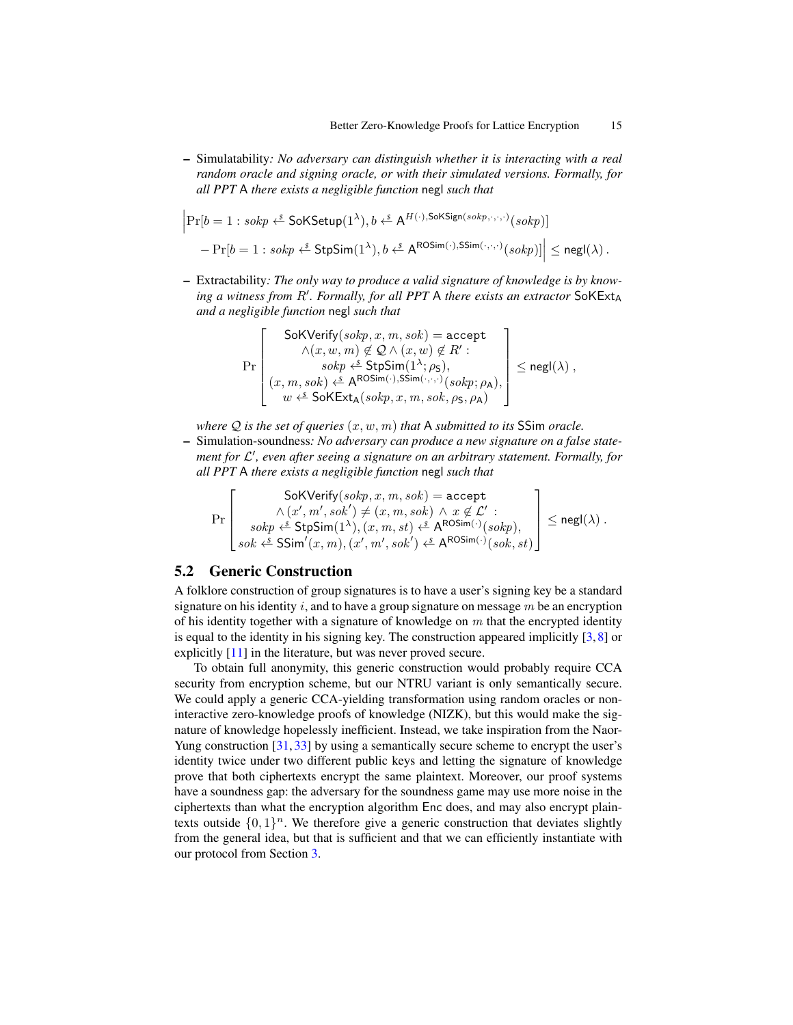– Simulatability*: No adversary can distinguish whether it is interacting with a real random oracle and signing oracle, or with their simulated versions. Formally, for all PPT* A *there exists a negligible function* negl *such that*

$$
\begin{aligned} \Big| \mathrm{Pr}[b=1: sokp \xleftarrow{\text{s}} \mathsf{SokSetup}(1^{\lambda}), b \xleftarrow{\text{s}} \mathsf{A}^{H(\cdot), \mathsf{SokSign}(sokp, \cdot, \cdot, \cdot)}(sokp)] \\ &- \mathrm{Pr}[b=1: sokp \xleftarrow{\text{s}} \mathsf{StpSim}(1^{\lambda}), b \xleftarrow{\text{s}} \mathsf{A}^{\mathsf{ROSim}(\cdot), \mathsf{SSim}(\cdot, \cdot, \cdot)}(sokp)] \Big| \leq \mathsf{negl}(\lambda) \,. \end{aligned}
$$

– Extractability*: The only way to produce a valid signature of knowledge is by knowing a witness from R'. Formally, for all PPT A there exists an extractor* SoKExt<sub>A</sub> *and a negligible function* negl *such that*

$$
\Pr\left[\begin{array}{c} \mathsf{SoKVerify}(sokp,x,m, sok)=\mathsf{accept} \\ \wedge(x,w,m)\not\in\mathcal{Q}\wedge(x,w)\not\in R': \\ \text{sokp}\xleftarrow{\$}\mathsf{StpSim}(1^{\lambda};\rho_{\mathsf{S}}), \\ (x,m, sok)\xleftarrow{\$}\mathsf{A}^{\mathsf{ROSim}(\cdot),\mathsf{SSim}(\cdot,\cdot,\cdot)}(sokp;\rho_{\mathsf{A}}), \\ w\xleftarrow{\$}\mathsf{SoKExt}_{\mathsf{A}}(sokp,x,m, sok,\rho_{\mathsf{S}},\rho_{\mathsf{A}}) \end{array}\right]\le {\mathsf{negl}}(\lambda)\ ,
$$

*where*  $Q$  *is the set of queries*  $(x, w, m)$  *that* A *submitted to its* SSim *oracle.* 

– Simulation-soundness*: No adversary can produce a new signature on a false state*ment for L', even after seeing a signature on an arbitrary statement. Formally, for *all PPT* A *there exists a negligible function* negl *such that*

$$
\Pr\left[\begin{array}{c} \mathsf{SoKVerify}(sokp,x,m, sok) = \mathsf{accept} \\ \wedge(x',m', sok') \neq (x, m, sok) \wedge x \not\in \mathcal{L}' : \\ sokp \stackrel{\varepsilon}{\leftarrow} \mathsf{StpSim}(1^{\lambda}), (x, m, st) \stackrel{\varepsilon}{\leftarrow} \mathsf{A}^{\mathsf{ROSim}(\cdot)}(sokp), \\ sok \stackrel{\varepsilon}{\leftarrow} \mathsf{SSim}'(x,m), (x',m', sok') \stackrel{\varepsilon}{\leftarrow} \mathsf{A}^{\mathsf{ROSim}(\cdot)}(sok, st) \end{array}\right] \leq \mathsf{negl}(\lambda) \, .
$$

#### 5.2 Generic Construction

A folklore construction of group signatures is to have a user's signing key be a standard signature on his identity i, and to have a group signature on message  $m$  be an encryption of his identity together with a signature of knowledge on  $m$  that the encrypted identity is equal to the identity in his signing key. The construction appeared implicitly  $[3,8]$  $[3,8]$  or explicitly [\[11\]](#page-19-6) in the literature, but was never proved secure.

To obtain full anonymity, this generic construction would probably require CCA security from encryption scheme, but our NTRU variant is only semantically secure. We could apply a generic CCA-yielding transformation using random oracles or noninteractive zero-knowledge proofs of knowledge (NIZK), but this would make the signature of knowledge hopelessly inefficient. Instead, we take inspiration from the Naor-Yung construction [\[31,](#page-20-17) [33\]](#page-20-18) by using a semantically secure scheme to encrypt the user's identity twice under two different public keys and letting the signature of knowledge prove that both ciphertexts encrypt the same plaintext. Moreover, our proof systems have a soundness gap: the adversary for the soundness game may use more noise in the ciphertexts than what the encryption algorithm Enc does, and may also encrypt plaintexts outside  $\{0, 1\}^n$ . We therefore give a generic construction that deviates slightly from the general idea, but that is sufficient and that we can efficiently instantiate with our protocol from Section [3.](#page-7-0)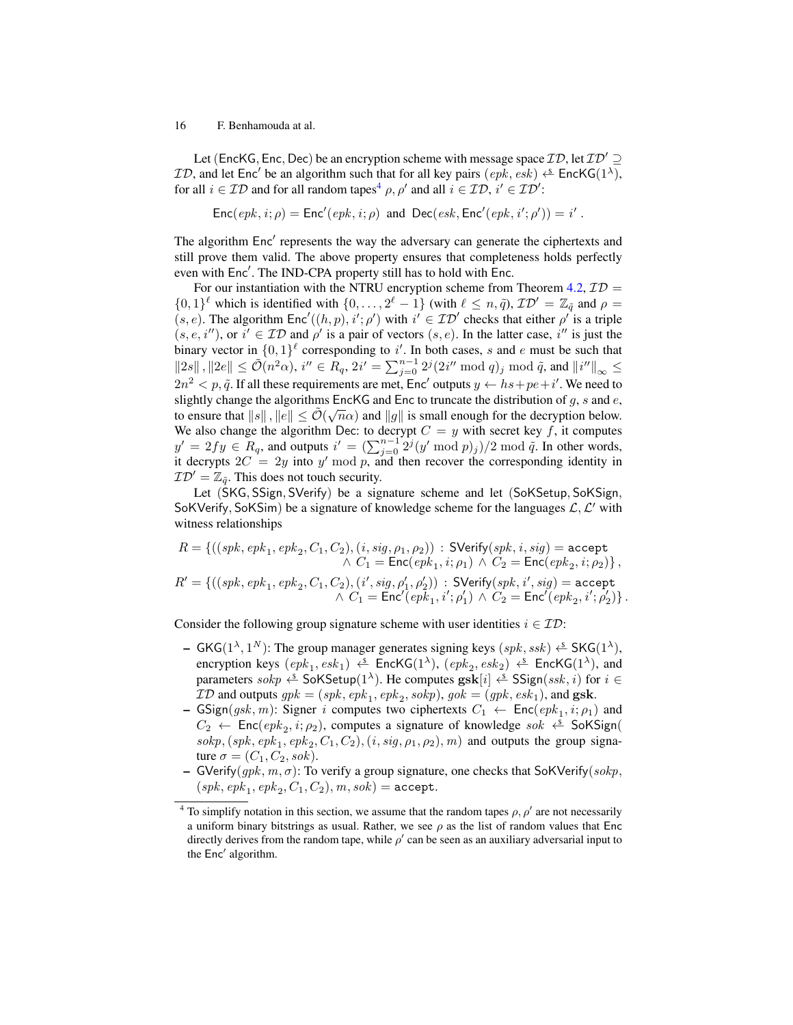Let (EncKG, Enc, Dec) be an encryption scheme with message space  $\mathcal{ID}$ , let  $\mathcal{ID}' \supseteq$ *ID*, and let Enc' be an algorithm such that for all key pairs  $(epk, esk) \Leftrightarrow$  EncKG(1<sup> $\lambda$ </sup>), for all  $i \in \mathcal{ID}$  and for all random tapes<sup>[4](#page-15-0)</sup>  $\rho$ ,  $\rho'$  and all  $i \in \mathcal{ID}$ ,  $i' \in \mathcal{ID}'$ :

$$
Enc(epk, i; \rho) = Enc'(epk, i; \rho) \text{ and } Dec(esk, Enc'(epk, i'; \rho')) = i'.
$$

The algorithm Enc' represents the way the adversary can generate the ciphertexts and still prove them valid. The above property ensures that completeness holds perfectly even with Enc'. The IND-CPA property still has to hold with Enc.

For our instantiation with the NTRU encryption scheme from Theorem  $4.2$ ,  $ID =$  $\{0,1\}^{\ell}$  which is identified with  $\{0,\ldots,2^{\ell}-1\}$  (with  $\ell \leq n,\tilde{q}$ ),  $\mathcal{ID}' = \mathbb{Z}_{\tilde{q}}$  and  $\rho =$  $(s, e)$ . The algorithm  $Enc'(h, p), i'; \rho'$  with  $i' \in \mathcal{ID}'$  checks that either  $\rho'$  is a triple  $(s, e, i'')$ , or  $i' \in \mathcal{ID}$  and  $\rho'$  is a pair of vectors  $(s, e)$ . In the latter case, i'' is just the binary vector in  $\{0,1\}^{\ell}$  corresponding to i'. In both cases, s and e must be such that  $||2s||$ ,  $||2e|| \le \tilde{O}(n^2\alpha)$ ,  $i'' \in R_q$ ,  $2i' = \sum_{j=0}^{n-1} 2^j (2i' \mod q)_j \mod \tilde{q}$ , and  $||i''||_{\infty} \le$  $2n^2 < p$ ,  $\tilde{q}$ . If all these requirements are met, Enc' outputs  $y \leftarrow hs + pe + i'$ . We need to slightly change the algorithms EncKG and Enc to truncate the distribution of g, s and e, to ensure that  $||s||$ ,  $||e|| \le \tilde{O}(\sqrt{n}\alpha)$  and  $||g||$  is small enough for the decryption below. We also change the algorithm Dec: to decrypt  $C = y$  with secret key f, it computes  $y' = 2fy \in R_q$ , and outputs  $i' = (\sum_{j=0}^{n-1} 2^j (y' \bmod p)_j)/2 \bmod \tilde{q}$ . In other words, it decrypts  $2C = 2y$  into y' mod p, and then recover the corresponding identity in  $\mathcal{ID}' = \mathbb{Z}_{\tilde{\sigma}}$ . This does not touch security.

Let (SKG, SSign, SVerify) be a signature scheme and let (SoKSetup, SoKSign, SoKVerify, SoKSim) be a signature of knowledge scheme for the languages  $\mathcal{L}, \mathcal{L}'$  with witness relationships

$$
R = \{((spk, epk_1, epk_2, C_1, C_2), (i, sig, \rho_1, \rho_2)) : \textsf{SVerify}(spk, i, sig) = \textsf{accept} \land C_1 = \textsf{Enc}(epk_1, i; \rho_1) \land C_2 = \textsf{Enc}(epk_2, i; \rho_2)\},
$$
\n
$$
R' = \{((spk, epk_1, epk_2, C_1, C_2), (i', sig, \rho'_1, \rho'_2)) : \textsf{SVerify}(spk, i', sig) = \textsf{accept} \land C_1 = \textsf{Enc}'(epk_1, i'; \rho'_1) \land C_2 = \textsf{Enc}'(epk_2, i'; \rho'_2)\}.
$$

Consider the following group signature scheme with user identities  $i \in \mathcal{ID}$ :

- GKG(1<sup> $\lambda$ </sup>, 1<sup>N</sup>): The group manager generates signing keys (spk, ssk)  $\xi$  SKG(1 $\lambda$ ), encryption keys  $(epk_1, esk_1) \xleftarrow{\$}$  EncKG(1<sup> $\lambda$ </sup>),  $(epk_2, esk_2) \xleftarrow{\$}$  EncKG(1<sup> $\lambda$ </sup>), and parameters  $sokp \stackrel{s}{\leftarrow}$  SoKSetup(1<sup> $\lambda$ </sup>). He computes  $gsk[i] \stackrel{s}{\leftarrow}$  SSign( $ssk, i$ ) for  $i \in$  $\mathcal{ID}$  and outputs  $gpk = (spk, epk_1, epk_2, sokp), gok = (gpk, esk_1)$ , and  $gsk$ .
- GSign(gsk, m): Signer *i* computes two ciphertexts  $C_1$  ← Enc(epk<sub>1</sub>, *i*;  $\rho_1$ ) and  $C_2 \leftarrow \textsf{Enc}(\textit{epk}_2, i; \rho_2)$ , computes a signature of knowledge sok  $\leftarrow$  SoKSign(  $sokp, (spk, epk<sub>1</sub>, epk<sub>2</sub>, C<sub>1</sub>, C<sub>2</sub>), (i, sig, \rho<sub>1</sub>, \rho<sub>2</sub>), m)$  and outputs the group signature  $\sigma = (C_1, C_2, sok)$ .
- GVerify( $qpk, m, \sigma$ ): To verify a group signature, one checks that SoKVerify( $sokp$ ,  $(spk, epk<sub>1</sub>, epk<sub>2</sub>, C<sub>1</sub>, C<sub>2</sub>), m, sok) = \texttt{accept}.$

<span id="page-15-0"></span><sup>&</sup>lt;sup>4</sup> To simplify notation in this section, we assume that the random tapes  $\rho$ ,  $\rho'$  are not necessarily a uniform binary bitstrings as usual. Rather, we see  $\rho$  as the list of random values that Enc directly derives from the random tape, while  $\rho'$  can be seen as an auxiliary adversarial input to the Enc' algorithm.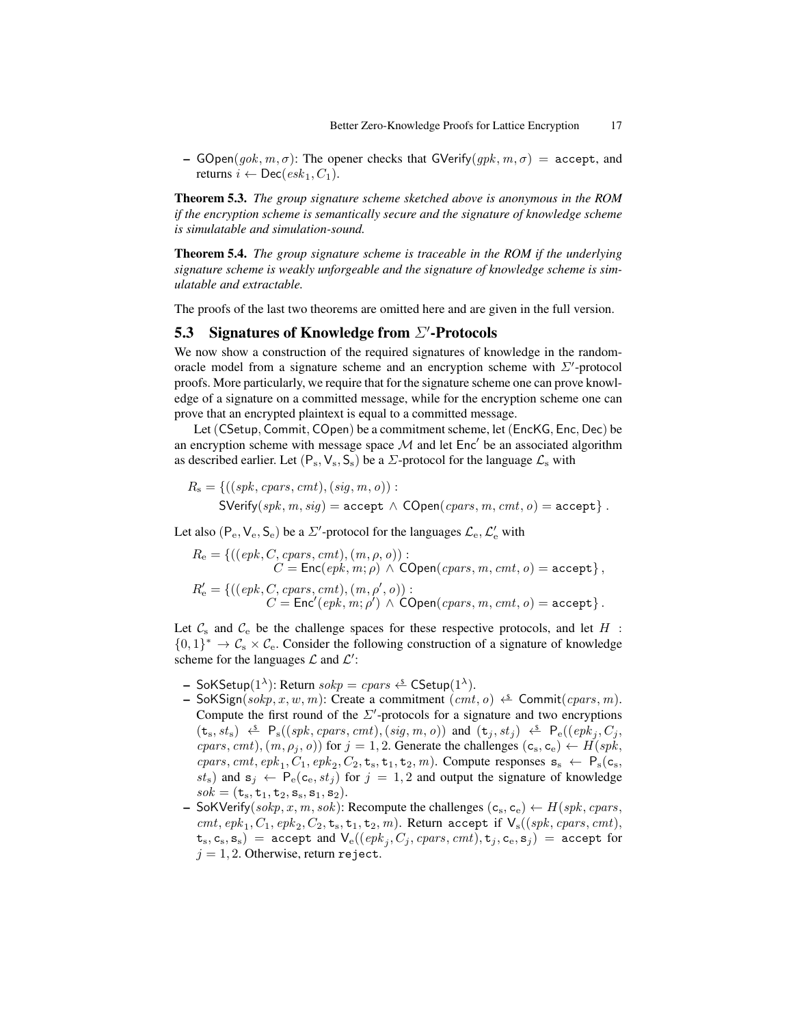– GOpen(gok,  $m, \sigma$ ): The opener checks that GVerify(gpk,  $m, \sigma$ ) = accept, and returns  $i \leftarrow \text{Dec}(esk_1, C_1)$ .

Theorem 5.3. *The group signature scheme sketched above is anonymous in the ROM if the encryption scheme is semantically secure and the signature of knowledge scheme is simulatable and simulation-sound.*

Theorem 5.4. *The group signature scheme is traceable in the ROM if the underlying signature scheme is weakly unforgeable and the signature of knowledge scheme is simulatable and extractable.*

The proofs of the last two theorems are omitted here and are given in the full version.

## <span id="page-16-0"></span>5.3 Signatures of Knowledge from  $\Sigma'$ -Protocols

We now show a construction of the required signatures of knowledge in the randomoracle model from a signature scheme and an encryption scheme with  $\Sigma'$ -protocol proofs. More particularly, we require that for the signature scheme one can prove knowledge of a signature on a committed message, while for the encryption scheme one can prove that an encrypted plaintext is equal to a committed message.

Let (CSetup, Commit, COpen) be a commitment scheme, let (EncKG, Enc, Dec) be an encryption scheme with message space  $M$  and let  $Enc'$  be an associated algorithm as described earlier. Let  $(P_s, V_s, S_s)$  be a  $\Sigma$ -protocol for the language  $\mathcal{L}_s$  with

$$
R_s = \{((spk, cpars, cmt), (sig, m, o)) :
$$
  
SVerify( $spk, m, sig$ ) = accept  $\land$  COPen( $cpars, m, cmt, o$ ) = accept.

Let also ( $P_e$ ,  $V_e$ ,  $S_e$ ) be a  $\Sigma'$ -protocol for the languages  $\mathcal{L}_e$ ,  $\mathcal{L}'_e$  with

$$
R_e = \{((epk, C, cpars, cmt), (m, \rho, o)) :
$$
  
\n
$$
C = \text{Enc}(epk, m; \rho) \land \text{COpen}(cpars, m, cmt, o) = \text{accept} \},
$$
  
\n
$$
R'_e = \{((epk, C, cpars, cmt), (m, \rho', o)) :
$$
  
\n
$$
C = \text{Enc}'(epk, m; \rho') \land \text{COpen}(cpars, m, cmt, o) = \text{accept} \}.
$$

Let  $\mathcal{C}_s$  and  $\mathcal{C}_e$  be the challenge spaces for these respective protocols, and let  $H$ :  $\{0,1\}^* \to \mathcal{C}_s \times \mathcal{C}_e$ . Consider the following construction of a signature of knowledge scheme for the languages  $\mathcal L$  and  $\mathcal L'$ :

- SoKSetup $(1^{\lambda})$ : Return  $sokp = cpars \xleftarrow{s} \textsf{CSetup}(1^{\lambda})$ .
- SoKSign(sokp, x, w, m): Create a commitment  $(cmt, o) \stackrel{\leq}{\leftarrow}$  Commit(cpars, m). Compute the first round of the  $\Sigma'$ -protocols for a signature and two encryptions  $(\mathtt{t_s}, st_s) \triangleq \mathsf{P_s}((spk, cpars, cmt), (sig, m, o))$  and  $(\mathtt{t_j}, st_j) \triangleq \mathsf{P_e}((epk_j, C_j,$ cpars, cmt),  $(m, \rho_j, o)$  for  $j = 1, 2$ . Generate the challenges  $(c_s, c_e) \leftarrow H(spk,$  $cparse, cmt, epk<sub>1</sub>, C<sub>1</sub>, epk<sub>2</sub>, C<sub>2</sub>, t<sub>s</sub>, t<sub>1</sub>, t<sub>2</sub>, m)$ . Compute responses  $s<sub>s</sub> \leftarrow P<sub>s</sub>(c<sub>s</sub>,$  $s_t$ ) and  $s_j \leftarrow P_e(c_e, st_j)$  for  $j = 1, 2$  and output the signature of knowledge  $sok = (\mathbf{t}_s, \mathbf{t}_1, \mathbf{t}_2, \mathbf{s}_s, \mathbf{s}_1, \mathbf{s}_2).$
- SoKVerify(sokp, x, m, sok): Recompute the challenges  $(c_s, c_e) \leftarrow H(spk, cpars,$  $cmt, epk<sub>1</sub>, C<sub>1</sub>, epk<sub>2</sub>, C<sub>2</sub>, t<sub>s</sub>, t<sub>1</sub>, t<sub>2</sub>, m)$ . Return accept if  $V<sub>s</sub>((spk, cpars, cmt),$  $(\mathbf{t}_{\mathrm{s}},\mathbf{c}_{\mathrm{s}},\mathbf{s}_{\mathrm{s}})$  = accept and  $\mathsf{V}_{\mathrm{e}}((e p k_{j}, C_{j}, \textit{c} \textit{pars}, \textit{c} \textit{mt}), \mathbf{t}_{j}, \mathbf{c}_{\mathrm{e}}, \mathbf{s}_{j})$  = accept for  $j = 1, 2$ . Otherwise, return reject.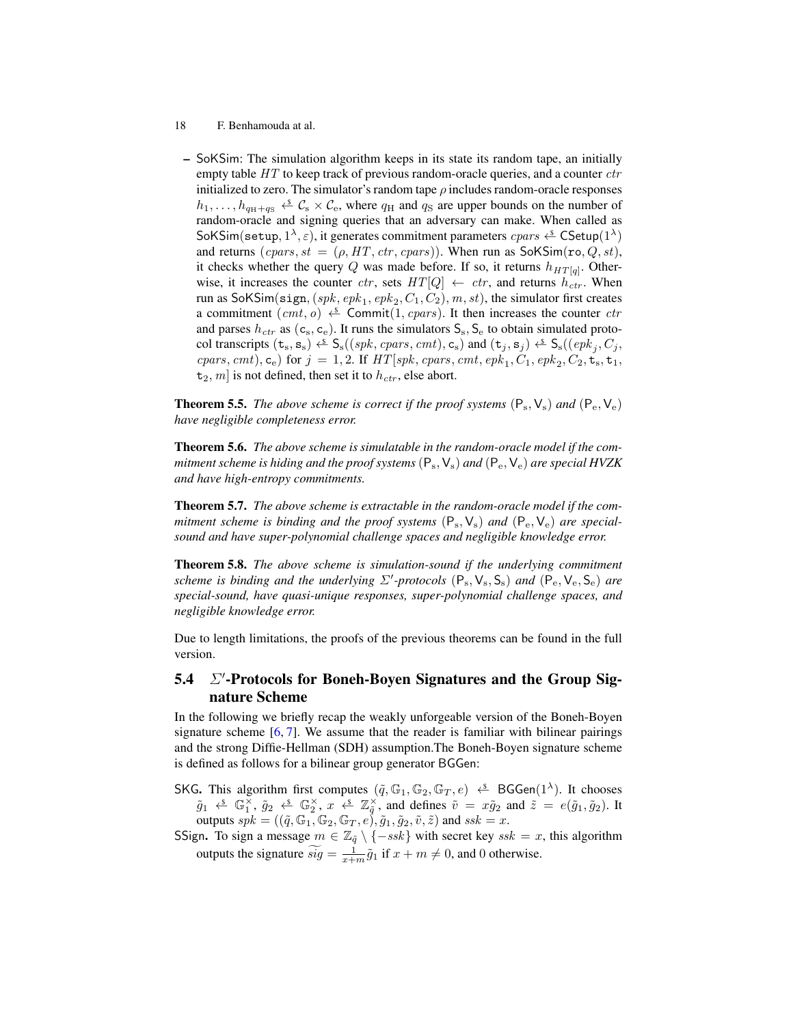- 18 F. Benhamouda at al.
	- SoKSim: The simulation algorithm keeps in its state its random tape, an initially empty table  $HT$  to keep track of previous random-oracle queries, and a counter  $ctr$ initialized to zero. The simulator's random tape  $\rho$  includes random-oracle responses  $h_1, \ldots, h_{q_H+q_S} \overset{\$}{\leftarrow} C_s \times C_e$ , where  $q_H$  and  $q_S$  are upper bounds on the number of random-oracle and signing queries that an adversary can make. When called as SoKSim(setup,  $1^{\lambda}$ ,  $\varepsilon$ ), it generates commitment parameters  $cparse \xleftarrow{\$} \mathsf{CSetup}(1^{\lambda})$ and returns (cpars,  $st = (\rho, HT, ctr, cparse)$ ). When run as SoKSim(ro, Q, st), it checks whether the query Q was made before. If so, it returns  $h_{HT[q]}$ . Otherwise, it increases the counter  $ctr$ , sets  $HT[Q] \leftarrow ctr$ , and returns  $h_{ctr}$ . When run as SoKSim(sign, (spk, ep $k_1$ , ep $k_2$ ,  $C_1$ ,  $C_2$ ),  $m$ , st), the simulator first creates a commitment  $(cmt, o) \leftarrow$  Commit $(1, cparse)$ . It then increases the counter ctr and parses  $h_{ctr}$  as  $(c_s, c_e)$ . It runs the simulators  $S_s$ ,  $S_e$  to obtain simulated protocol transcripts  $(\mathbf{t}_s, \mathbf{s}_s) \overset{\$}{\leftarrow} \mathsf{S}_s((spk, \text{cparse}, \text{cmt}), \mathsf{c}_s)$  and  $(\mathbf{t}_j, \mathbf{s}_j) \overset{\$}{\leftarrow} \mathsf{S}_s((\text{epk}_j, C_j,$ cpars, cmt), c<sub>e</sub>) for  $j = 1, 2$ . If  $HT[spk, cparse, cmt, epk<sub>1</sub>, C<sub>1</sub>, epk<sub>2</sub>, C<sub>2</sub>, t<sub>s</sub>, t<sub>1</sub>,$  $t_2$ , m] is not defined, then set it to  $h_{ctr}$ , else abort.

**Theorem 5.5.** *The above scheme is correct if the proof systems*  $(P_s, V_s)$  *and*  $(P_e, V_e)$ *have negligible completeness error.*

Theorem 5.6. *The above scheme is simulatable in the random-oracle model if the commitment scheme is hiding and the proof systems*  $(P_s, V_s)$  *and*  $(P_e, V_e)$  *are special HVZK and have high-entropy commitments.*

Theorem 5.7. *The above scheme is extractable in the random-oracle model if the commitment scheme is binding and the proof systems*  $(P_s, V_s)$  *and*  $(P_e, V_e)$  *are specialsound and have super-polynomial challenge spaces and negligible knowledge error.*

Theorem 5.8. *The above scheme is simulation-sound if the underlying commitment scheme is binding and the underlying*  $\Sigma'$ -protocols  $(P_s, V_s, S_s)$  *and*  $(P_e, V_e, S_e)$  *are special-sound, have quasi-unique responses, super-polynomial challenge spaces, and negligible knowledge error.*

Due to length limitations, the proofs of the previous theorems can be found in the full version.

#### $5.4$  $\Sigma'$ -Protocols for Boneh-Boyen Signatures and the Group Signature Scheme

In the following we briefly recap the weakly unforgeable version of the Boneh-Boyen signature scheme  $[6, 7]$  $[6, 7]$  $[6, 7]$ . We assume that the reader is familiar with bilinear pairings and the strong Diffie-Hellman (SDH) assumption.The Boneh-Boyen signature scheme is defined as follows for a bilinear group generator BGGen:

- SKG. This algorithm first computes  $(\tilde{q}, \mathbb{G}_1, \mathbb{G}_2, \mathbb{G}_T, e) \stackrel{\text{s}}{\leftarrow} \text{BGGen}(1^{\lambda})$ . It chooses  $\tilde{g}_1 \leftrightarrow \mathbb{G}_1^{\times}$ ,  $\tilde{g}_2 \leftrightarrow \mathbb{G}_2^{\times}$ ,  $x \leftrightarrow \mathbb{Z}_q^{\times}$ , and defines  $\tilde{v} = x\tilde{g}_2$  and  $\tilde{z} = e(\tilde{g}_1, \tilde{g}_2)$ . It outputs  $spk = ((\tilde{q}, \mathbb{G}_1, \mathbb{G}_2, \mathbb{G}_T, e), \tilde{g}_1, \tilde{g}_2, \tilde{v}, \tilde{z})$  and  $ssk = x$ .
- SSign. To sign a message  $m \in \mathbb{Z}_q \setminus \{-ssk\}$  with secret key  $ssk = x$ , this algorithm outputs the signature  $\widetilde{sig} = \frac{1}{x+m}\widetilde{g}_1$  if  $x+m\neq 0$ , and 0 otherwise.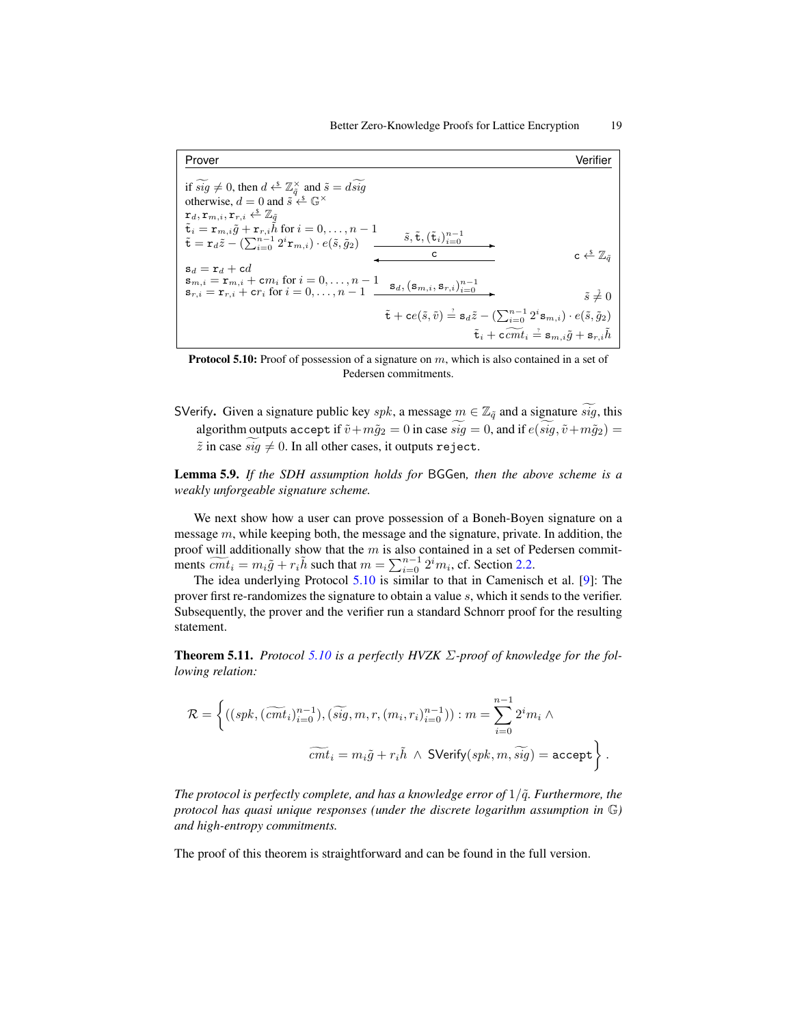Prover **Prover Account Account Account Account Account Account Account Account Account Account Account Account** if  $\widetilde{sig} \neq 0$ , then  $d \overset{\xi}{\leftarrow} \mathbb{Z}_{\tilde{q}}^{\times}$  and  $\tilde{s} = d\widetilde{sig}$ otherwise,  $d = 0$  and  $\tilde{s} \stackrel{*}{\leftarrow} \mathbb{G}^{\times}$  $\mathtt{r}_d, \mathtt{r}_{m,i}, \mathtt{r}_{r,i} \overset{\mathtt{s}}{\leftarrow} \mathbb{Z}_{\tilde{q}}$  $\tilde{\textbf{t}}_i = \textbf{r}_{m,i} \tilde{g} + \textbf{r}_{r,i} \tilde{h}$  for  $i = 0, \ldots, n-1$ t˜ = rdz˜ − ( P<sup>n</sup>−<sup>1</sup> <sup>i</sup>=0 2 i rm,i) · e(˜s, g˜2) s, ˜ t˜,(t˜i) n−1 <sup>i</sup>=0 ✲ c c c  $c \stackrel{s}{\longleftarrow} \mathbb{Z}_q$  $\mathtt{s}_d=\mathtt{r}_d+\mathtt{c}d$  $\mathbf{s}_{m,i} = \mathbf{r}_{m,i} + \mathbf{c}m_i$  for  $i = 0, \dots, n-1$  $\mathbf{s}_{m,i} = \mathbf{r}_{m,i} + cm_i$  for  $i = 0, \ldots, n-1$   $\mathbf{s}_d, (\mathbf{s}_{m,i}, \mathbf{s}_{r,i})_{i=0}^{n-1}$ <br>  $\mathbf{s}_{r,i} = \mathbf{r}_{r,i} + cr_i$  for  $i = 0, \ldots, n-1$   $\_\_$  $\begin{aligned}\n \tilde{s} \neq 0 \\
\tilde{s} \neq 0\n \end{aligned}$  $\tilde{\mathtt{t}}+\mathtt{c}e(\tilde{s},\tilde{v})\stackrel{\text{\tiny{2}}}{=} \mathtt{s}_d\tilde{z}-(\sum_{i=0}^{n-1}2^i\mathtt{s}_{m,i})\cdot e(\tilde{s},\tilde{g}_2)$  $\tilde{\mathtt{t}}_i + \widetilde{\mathtt{c} c m t}_i \stackrel{\text{\tiny ?}}{=} \mathtt{s}_{m,i} \tilde{g} + \mathtt{s}_{r,i} \tilde{h}$ 

<span id="page-18-0"></span>**Protocol 5.10:** Proof of possession of a signature on m, which is also contained in a set of Pedersen commitments.

SVerify. Given a signature public key spk, a message  $m \in \mathbb{Z}_q^q$  and a signature sig, this algorithm outputs accept if  $\tilde{v}+m\tilde{g}_2 = 0$  in case  $\tilde{sig} = 0$ , and if  $e(\tilde{sig}, \tilde{v}+m\tilde{g}_2) =$  $\tilde{z}$  in case  $sig \neq 0$ . In all other cases, it outputs reject.

Lemma 5.9. *If the SDH assumption holds for* BGGen*, then the above scheme is a weakly unforgeable signature scheme.*

We next show how a user can prove possession of a Boneh-Boyen signature on a message m, while keeping both, the message and the signature, private. In addition, the proof will additionally show that the  $m$  is also contained in a set of Pedersen commitments  $\widetilde{cm}i_i = m_i\widetilde{g} + r_i\widetilde{h}$  such that  $m = \sum_{i=0}^{n-1} 2^i m_i$ , cf. Section [2.2.](#page-4-0)

The idea underlying Protocol [5.10](#page-18-0) is similar to that in Camenisch et al. [\[9\]](#page-19-17): The prover first re-randomizes the signature to obtain a value s, which it sends to the verifier. Subsequently, the prover and the verifier run a standard Schnorr proof for the resulting statement.

Theorem 5.11. *Protocol [5.10](#page-18-0) is a perfectly HVZK* Σ*-proof of knowledge for the following relation:*

$$
\mathcal{R} = \left\{ \left( (spk, (\widetilde{cm}t_i)_{i=0}^{n-1}), (\widetilde{sig}, m, r, (m_i, r_i)_{i=0}^{n-1}) \right) : m = \sum_{i=0}^{n-1} 2^i m_i \wedge \n\widetilde{cm}t_i = m_i \widetilde{g} + r_i \widetilde{h} \wedge \text{SVerify}(spk, m, \widetilde{sig}) = \text{accept} \right\}.
$$

*The protocol is perfectly complete, and has a knowledge error of*  $1/\tilde{q}$ *. Furthermore, the protocol has quasi unique responses (under the discrete logarithm assumption in* G*) and high-entropy commitments.*

The proof of this theorem is straightforward and can be found in the full version.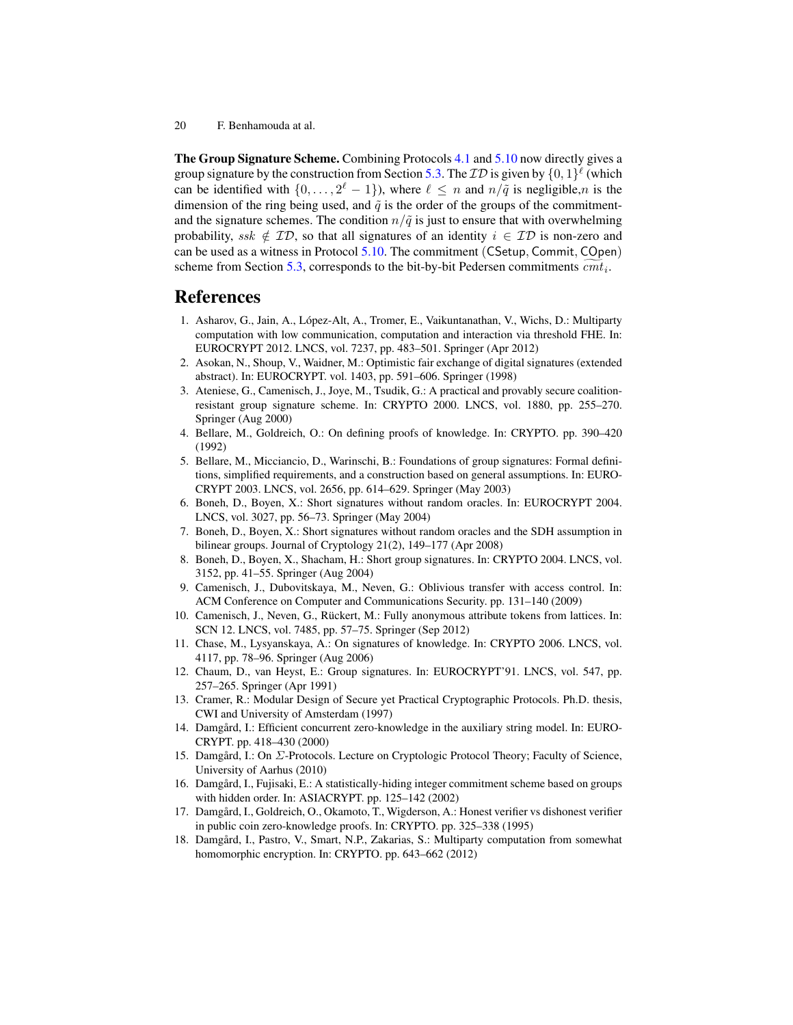The Group Signature Scheme. Combining Protocols [4.1](#page-11-0) and [5.10](#page-18-0) now directly gives a group signature by the construction from Section [5.3.](#page-16-0) The  $\mathcal{ID}$  is given by  $\{0,1\}^{\ell}$  (which can be identified with  $\{0, \ldots, 2^{\ell} - 1\}$ , where  $\ell \leq n$  and  $n/\tilde{q}$  is negligible, *n* is the dimension of the ring being used, and  $\tilde{q}$  is the order of the groups of the commitmentand the signature schemes. The condition  $n/\tilde{q}$  is just to ensure that with overwhelming probability, ssk  $\notin \mathcal{ID}$ , so that all signatures of an identity  $i \in \mathcal{ID}$  is non-zero and can be used as a witness in Protocol [5.10.](#page-18-0) The commitment (CSetup, Commit, COpen) scheme from Section [5.3,](#page-16-0) corresponds to the bit-by-bit Pedersen commitments  $cmt_i$ .

### References

- <span id="page-19-10"></span>1. Asharov, G., Jain, A., Lopez-Alt, A., Tromer, E., Vaikuntanathan, V., Wichs, D.: Multiparty ´ computation with low communication, computation and interaction via threshold FHE. In: EUROCRYPT 2012. LNCS, vol. 7237, pp. 483–501. Springer (Apr 2012)
- <span id="page-19-0"></span>2. Asokan, N., Shoup, V., Waidner, M.: Optimistic fair exchange of digital signatures (extended abstract). In: EUROCRYPT. vol. 1403, pp. 591–606. Springer (1998)
- <span id="page-19-4"></span>3. Ateniese, G., Camenisch, J., Joye, M., Tsudik, G.: A practical and provably secure coalitionresistant group signature scheme. In: CRYPTO 2000. LNCS, vol. 1880, pp. 255–270. Springer (Aug 2000)
- <span id="page-19-7"></span>4. Bellare, M., Goldreich, O.: On defining proofs of knowledge. In: CRYPTO. pp. 390–420 (1992)
- <span id="page-19-14"></span>5. Bellare, M., Micciancio, D., Warinschi, B.: Foundations of group signatures: Formal definitions, simplified requirements, and a construction based on general assumptions. In: EURO-CRYPT 2003. LNCS, vol. 2656, pp. 614–629. Springer (May 2003)
- <span id="page-19-15"></span>6. Boneh, D., Boyen, X.: Short signatures without random oracles. In: EUROCRYPT 2004. LNCS, vol. 3027, pp. 56–73. Springer (May 2004)
- <span id="page-19-16"></span>7. Boneh, D., Boyen, X.: Short signatures without random oracles and the SDH assumption in bilinear groups. Journal of Cryptology 21(2), 149–177 (Apr 2008)
- <span id="page-19-5"></span>8. Boneh, D., Boyen, X., Shacham, H.: Short group signatures. In: CRYPTO 2004. LNCS, vol. 3152, pp. 41–55. Springer (Aug 2004)
- <span id="page-19-17"></span>9. Camenisch, J., Dubovitskaya, M., Neven, G.: Oblivious transfer with access control. In: ACM Conference on Computer and Communications Security. pp. 131–140 (2009)
- <span id="page-19-3"></span>10. Camenisch, J., Neven, G., Rückert, M.: Fully anonymous attribute tokens from lattices. In: SCN 12. LNCS, vol. 7485, pp. 57–75. Springer (Sep 2012)
- <span id="page-19-6"></span>11. Chase, M., Lysyanskaya, A.: On signatures of knowledge. In: CRYPTO 2006. LNCS, vol. 4117, pp. 78–96. Springer (Aug 2006)
- <span id="page-19-2"></span>12. Chaum, D., van Heyst, E.: Group signatures. In: EUROCRYPT'91. LNCS, vol. 547, pp. 257–265. Springer (Apr 1991)
- <span id="page-19-8"></span>13. Cramer, R.: Modular Design of Secure yet Practical Cryptographic Protocols. Ph.D. thesis, CWI and University of Amsterdam (1997)
- <span id="page-19-12"></span>14. Damgård, I.: Efficient concurrent zero-knowledge in the auxiliary string model. In: EURO-CRYPT. pp. 418–430 (2000)
- <span id="page-19-9"></span>15. Damgård, I.: On Σ-Protocols. Lecture on Cryptologic Protocol Theory; Faculty of Science, University of Aarhus (2010)
- <span id="page-19-11"></span>16. Damgård, I., Fujisaki, E.: A statistically-hiding integer commitment scheme based on groups with hidden order. In: ASIACRYPT. pp. 125–142 (2002)
- <span id="page-19-13"></span>17. Damgård, I., Goldreich, O., Okamoto, T., Wigderson, A.: Honest verifier vs dishonest verifier in public coin zero-knowledge proofs. In: CRYPTO. pp. 325–338 (1995)
- <span id="page-19-1"></span>18. Damgård, I., Pastro, V., Smart, N.P., Zakarias, S.: Multiparty computation from somewhat homomorphic encryption. In: CRYPTO. pp. 643–662 (2012)